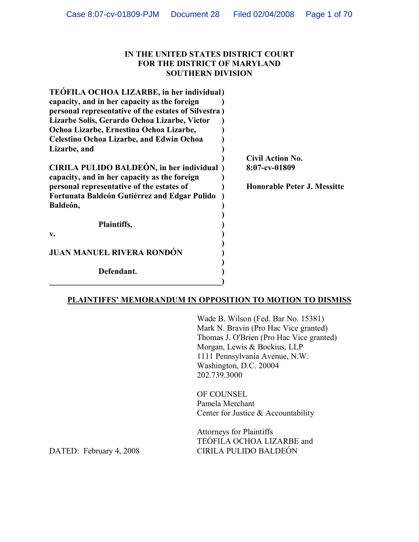#### **IN THE UNITED STATES DISTRICT COURT FOR THE DISTRICT OF MARYLAND SOUTHERN DIVISION**

| TEÓFILA OCHOA LIZARBE, in her individual)                                                |       |
|------------------------------------------------------------------------------------------|-------|
| capacity, and in her capacity as the foreign                                             |       |
| personal representative of the estates of Silvestra)                                     |       |
| Lizarbe Solis, Gerardo Ochoa Lizarbe, Victor                                             |       |
| Ochoa Lizarbe, Ernestina Ochoa Lizarbe,                                                  |       |
| <b>Celestino Ochoa Lizarbe, and Edwin Ochoa</b>                                          |       |
| Lizarbe, and                                                                             |       |
|                                                                                          | Civil |
| CIRILA PULIDO BALDEÓN, in her individual<br>capacity, and in her capacity as the foreign | 8:07  |
| personal representative of the estates of                                                | Hon   |
| Fortunata Baldeón Gutiérrez and Edgar Pulido<br>Baldeón,                                 |       |
|                                                                                          |       |
| Plaintiffs,                                                                              |       |
| v.                                                                                       |       |
| <b>JUAN MANUEL RIVERA RONDÓN</b>                                                         |       |
| Defendant.                                                                               |       |

**\_\_\_\_\_\_\_\_\_\_\_\_\_\_\_\_\_\_\_\_\_\_\_\_\_\_\_\_\_\_\_\_\_\_\_\_\_\_\_\_\_\_)**

**) Civil Action No. CIRILA PULIDO BALDEÓN, in her individual ) 8:07-cv-01809**

**perable Peter J. Messitte** 

## **PLAINTIFFS' MEMORANDUM IN OPPOSITION TO MOTION TO DISMISS**

Wade B. Wilson (Fed. Bar No. 15381) Mark N. Bravin (Pro Hac Vice granted) Thomas J. O'Brien (Pro Hac Vice granted) Morgan, Lewis & Bockius, LLP 1111 Pennsylvania Avenue, N.W. Washington, D.C. 20004 202.739.3000

OF COUNSEL Pamela Merchant Center for Justice & Accountability

Attorneys for Plaintiffs TEÓFILA OCHOA LIZARBE and DATED: February 4, 2008 CIRILA PULIDO BALDEÓN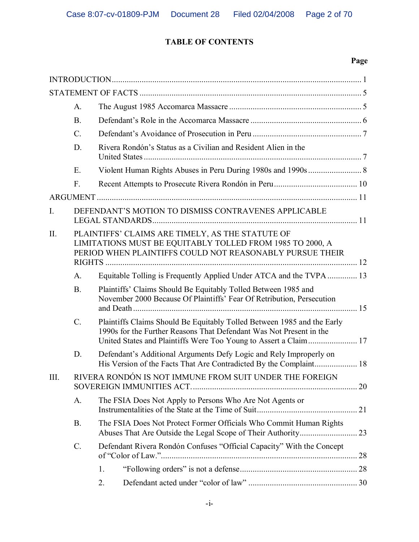# **TABLE OF CONTENTS**

|             | A.              |                                                                                                                                                                           |  |
|-------------|-----------------|---------------------------------------------------------------------------------------------------------------------------------------------------------------------------|--|
|             | B.              |                                                                                                                                                                           |  |
|             | $C_{\cdot}$     |                                                                                                                                                                           |  |
|             | D.              | Rivera Rondón's Status as a Civilian and Resident Alien in the                                                                                                            |  |
|             | Ε.              |                                                                                                                                                                           |  |
|             | F.              |                                                                                                                                                                           |  |
|             |                 |                                                                                                                                                                           |  |
| $I_{\cdot}$ |                 | DEFENDANT'S MOTION TO DISMISS CONTRAVENES APPLICABLE                                                                                                                      |  |
| $\prod$ .   |                 | PLAINTIFFS' CLAIMS ARE TIMELY, AS THE STATUTE OF<br>LIMITATIONS MUST BE EQUITABLY TOLLED FROM 1985 TO 2000, A<br>PERIOD WHEN PLAINTIFFS COULD NOT REASONABLY PURSUE THEIR |  |
|             | A.              | Equitable Tolling is Frequently Applied Under ATCA and the TVPA 13                                                                                                        |  |
|             | <b>B.</b>       | Plaintiffs' Claims Should Be Equitably Tolled Between 1985 and<br>November 2000 Because Of Plaintiffs' Fear Of Retribution, Persecution                                   |  |
|             | $C_{\cdot}$     | Plaintiffs Claims Should Be Equitably Tolled Between 1985 and the Early<br>1990s for the Further Reasons That Defendant Was Not Present in the                            |  |
|             | D.              | Defendant's Additional Arguments Defy Logic and Rely Improperly on                                                                                                        |  |
| III.        |                 | RIVERA RONDÓN IS NOT IMMUNE FROM SUIT UNDER THE FOREIGN                                                                                                                   |  |
|             | A.              | The FSIA Does Not Apply to Persons Who Are Not Agents or<br>21                                                                                                            |  |
|             | B.              | The FSIA Does Not Protect Former Officials Who Commit Human Rights                                                                                                        |  |
|             | $\mathcal{C}$ . | Defendant Rivera Rondón Confuses "Official Capacity" With the Concept<br>28                                                                                               |  |
|             |                 | 1.                                                                                                                                                                        |  |
|             |                 | 2.                                                                                                                                                                        |  |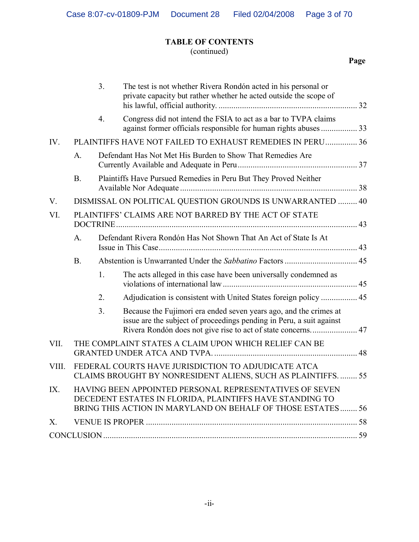# **TABLE OF CONTENTS**

# (continued)

|       |             | 3 <sub>1</sub> | The test is not whether Rivera Rondón acted in his personal or<br>private capacity but rather whether he acted outside the scope of                                                                       |  |
|-------|-------------|----------------|-----------------------------------------------------------------------------------------------------------------------------------------------------------------------------------------------------------|--|
|       |             | 4.             | Congress did not intend the FSIA to act as a bar to TVPA claims                                                                                                                                           |  |
| IV.   |             |                | <b>PLAINTIFFS HAVE NOT FAILED TO EXHAUST REMEDIES IN PERU  36</b>                                                                                                                                         |  |
|       | A.          |                | Defendant Has Not Met His Burden to Show That Remedies Are                                                                                                                                                |  |
|       | <b>B.</b>   |                | Plaintiffs Have Pursued Remedies in Peru But They Proved Neither                                                                                                                                          |  |
| V.    |             |                | DISMISSAL ON POLITICAL QUESTION GROUNDS IS UNWARRANTED  40                                                                                                                                                |  |
| VI.   |             |                | PLAINTIFFS' CLAIMS ARE NOT BARRED BY THE ACT OF STATE                                                                                                                                                     |  |
|       | $A_{\cdot}$ |                | Defendant Rivera Rondón Has Not Shown That An Act of State Is At                                                                                                                                          |  |
|       | <b>B.</b>   |                |                                                                                                                                                                                                           |  |
|       |             | 1.             | The acts alleged in this case have been universally condemned as                                                                                                                                          |  |
|       |             | 2.             |                                                                                                                                                                                                           |  |
|       |             | 3.             | Because the Fujimori era ended seven years ago, and the crimes at<br>issue are the subject of proceedings pending in Peru, a suit against<br>Rivera Rondón does not give rise to act of state concerns 47 |  |
| VII.  |             |                | THE COMPLAINT STATES A CLAIM UPON WHICH RELIEF CAN BE                                                                                                                                                     |  |
| VIII. |             |                | FEDERAL COURTS HAVE JURISDICTION TO ADJUDICATE ATCA<br>CLAIMS BROUGHT BY NONRESIDENT ALIENS, SUCH AS PLAINTIFFS 55                                                                                        |  |
| IX.   |             |                | HAVING BEEN APPOINTED PERSONAL REPRESENTATIVES OF SEVEN<br>DECEDENT ESTATES IN FLORIDA, PLAINTIFFS HAVE STANDING TO<br>BRING THIS ACTION IN MARYLAND ON BEHALF OF THOSE ESTATES 56                        |  |
| X.    |             |                |                                                                                                                                                                                                           |  |
|       |             |                |                                                                                                                                                                                                           |  |
|       |             |                |                                                                                                                                                                                                           |  |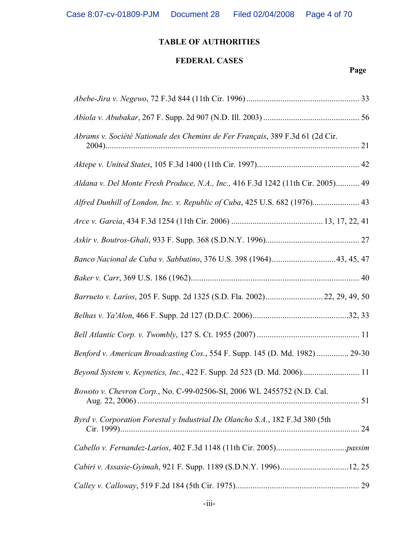# **FEDERAL CASES**

| Abrams v. Société Nationale des Chemins de Fer Français, 389 F.3d 61 (2d Cir.    |  |
|----------------------------------------------------------------------------------|--|
|                                                                                  |  |
| Aldana v. Del Monte Fresh Produce, N.A., Inc., 416 F.3d 1242 (11th Cir. 2005) 49 |  |
| Alfred Dunhill of London, Inc. v. Republic of Cuba, 425 U.S. 682 (1976) 43       |  |
|                                                                                  |  |
|                                                                                  |  |
|                                                                                  |  |
|                                                                                  |  |
| Barrueto v. Larios, 205 F. Supp. 2d 1325 (S.D. Fla. 2002) 22, 29, 49, 50         |  |
|                                                                                  |  |
|                                                                                  |  |
| Benford v. American Broadcasting Cos., 554 F. Supp. 145 (D. Md. 1982)  29-30     |  |
| Beyond System v. Keynetics, Inc., 422 F. Supp. 2d 523 (D. Md. 2006) 11           |  |
| Bowoto v. Chevron Corp., No. C-99-02506-SI, 2006 WL 2455752 (N.D. Cal.           |  |
| Byrd v. Corporation Forestal y Industrial De Olancho S.A., 182 F.3d 380 (5th     |  |
|                                                                                  |  |
| Cabiri v. Assasie-Gyimah, 921 F. Supp. 1189 (S.D.N.Y. 1996)12, 25                |  |
|                                                                                  |  |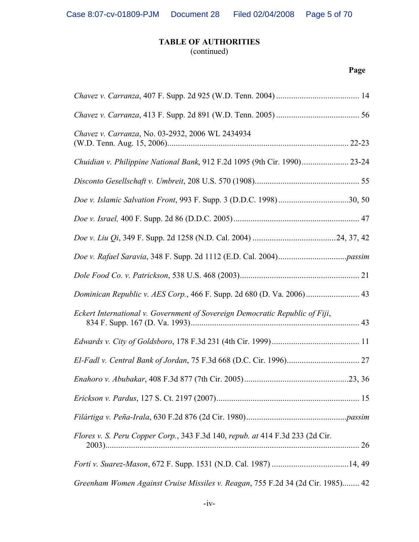(continued)

| Chavez v. Carranza, No. 03-2932, 2006 WL 2434934                                |  |
|---------------------------------------------------------------------------------|--|
| Chuidian v. Philippine National Bank, 912 F.2d 1095 (9th Cir. 1990) 23-24       |  |
|                                                                                 |  |
| Doe v. Islamic Salvation Front, 993 F. Supp. 3 (D.D.C. 1998)30, 50              |  |
|                                                                                 |  |
|                                                                                 |  |
|                                                                                 |  |
|                                                                                 |  |
| Dominican Republic v. AES Corp., 466 F. Supp. 2d 680 (D. Va. 2006) 43           |  |
| Eckert International v. Government of Sovereign Democratic Republic of Fiji,    |  |
|                                                                                 |  |
|                                                                                 |  |
|                                                                                 |  |
|                                                                                 |  |
|                                                                                 |  |
| Flores v. S. Peru Copper Corp., 343 F.3d 140, repub. at 414 F.3d 233 (2d Cir.   |  |
|                                                                                 |  |
| Greenham Women Against Cruise Missiles v. Reagan, 755 F.2d 34 (2d Cir. 1985) 42 |  |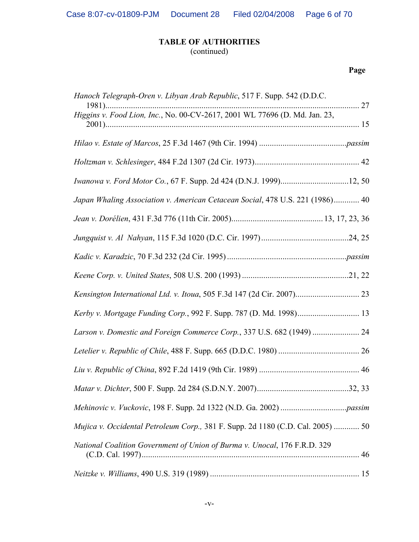# **TABLE OF AUTHORITIES** (continued)

| Hanoch Telegraph-Oren v. Libyan Arab Republic, 517 F. Supp. 542 (D.D.C.         |
|---------------------------------------------------------------------------------|
| Higgins v. Food Lion, Inc., No. 00-CV-2617, 2001 WL 77696 (D. Md. Jan. 23,      |
|                                                                                 |
|                                                                                 |
| Iwanowa v. Ford Motor Co., 67 F. Supp. 2d 424 (D.N.J. 1999)12, 50               |
| Japan Whaling Association v. American Cetacean Social, 478 U.S. 221 (1986) 40   |
|                                                                                 |
|                                                                                 |
|                                                                                 |
|                                                                                 |
| Kensington International Ltd. v. Itoua, 505 F.3d 147 (2d Cir. 2007) 23          |
| Kerby v. Mortgage Funding Corp., 992 F. Supp. 787 (D. Md. 1998) 13              |
| Larson v. Domestic and Foreign Commerce Corp., 337 U.S. 682 (1949)  24          |
|                                                                                 |
|                                                                                 |
|                                                                                 |
|                                                                                 |
| Mujica v. Occidental Petroleum Corp., 381 F. Supp. 2d 1180 (C.D. Cal. 2005)  50 |
| National Coalition Government of Union of Burma v. Unocal, 176 F.R.D. 329       |
|                                                                                 |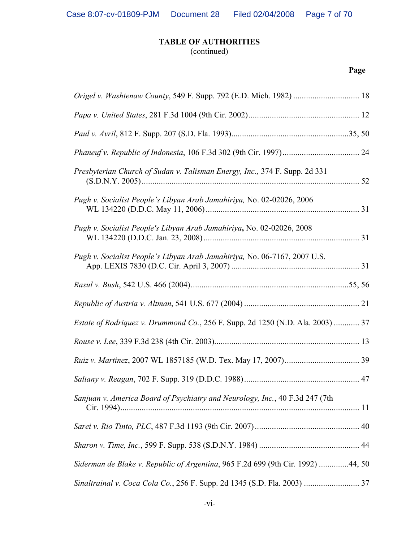(continued)

| Presbyterian Church of Sudan v. Talisman Energy, Inc., 374 F. Supp. 2d 331            |  |
|---------------------------------------------------------------------------------------|--|
| Pugh v. Socialist People's Libyan Arab Jamahiriya, No. 02-02026, 2006                 |  |
| Pugh v. Socialist People's Libyan Arab Jamahiriya, No. 02-02026, 2008                 |  |
| Pugh v. Socialist People's Libyan Arab Jamahiriya, No. 06-7167, 2007 U.S.             |  |
|                                                                                       |  |
|                                                                                       |  |
| <i>Estate of Rodriquez v. Drummond Co., 256 F. Supp. 2d 1250 (N.D. Ala. 2003) </i> 37 |  |
|                                                                                       |  |
|                                                                                       |  |
|                                                                                       |  |
| Sanjuan v. America Board of Psychiatry and Neurology, Inc., 40 F.3d 247 (7th          |  |
|                                                                                       |  |
|                                                                                       |  |
| Siderman de Blake v. Republic of Argentina, 965 F.2d 699 (9th Cir. 1992) 44, 50       |  |
| Sinaltrainal v. Coca Cola Co., 256 F. Supp. 2d 1345 (S.D. Fla. 2003)  37              |  |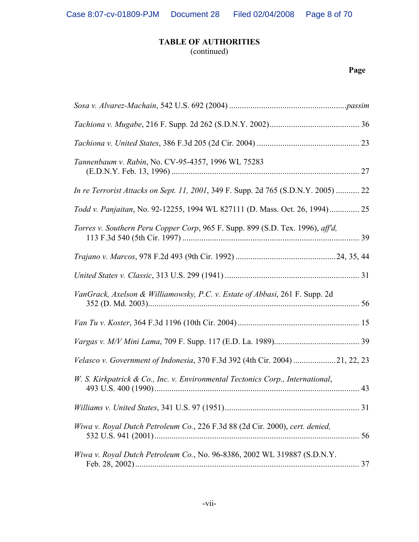(continued)

| Tannenbaum v. Rabin, No. CV-95-4357, 1996 WL 75283                                        |  |
|-------------------------------------------------------------------------------------------|--|
| <i>In re Terrorist Attacks on Sept. 11, 2001, 349 F. Supp. 2d 765 (S.D.N.Y. 2005)  22</i> |  |
| Todd v. Panjaitan, No. 92-12255, 1994 WL 827111 (D. Mass. Oct. 26, 1994) 25               |  |
| Torres v. Southern Peru Copper Corp, 965 F. Supp. 899 (S.D. Tex. 1996), aff'd,            |  |
|                                                                                           |  |
|                                                                                           |  |
| VanGrack, Axelson & Williamowsky, P.C. v. Estate of Abbasi, 261 F. Supp. 2d               |  |
|                                                                                           |  |
|                                                                                           |  |
| Velasco v. Government of Indonesia, 370 F.3d 392 (4th Cir. 2004) 21, 22, 23               |  |
| W. S. Kirkpatrick & Co., Inc. v. Environmental Tectonics Corp., International,            |  |
|                                                                                           |  |
| Wiwa v. Royal Dutch Petroleum Co., 226 F.3d 88 (2d Cir. 2000), cert. denied,              |  |
| Wiwa v. Royal Dutch Petroleum Co., No. 96-8386, 2002 WL 319887 (S.D.N.Y.                  |  |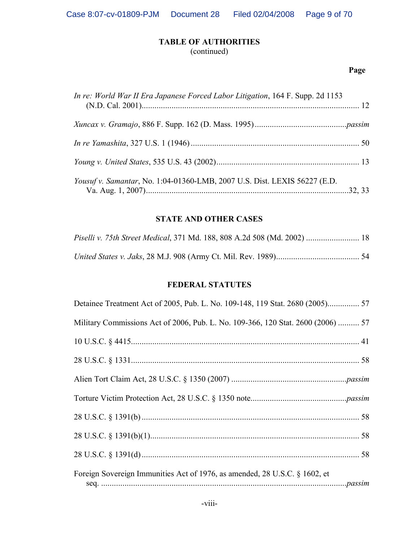(continued)

# **Page**

| In re: World War II Era Japanese Forced Labor Litigation, 164 F. Supp. 2d 1153 |  |
|--------------------------------------------------------------------------------|--|
|                                                                                |  |
|                                                                                |  |
|                                                                                |  |
| Yousuf v. Samantar, No. 1:04-01360-LMB, 2007 U.S. Dist. LEXIS 56227 (E.D.      |  |

## **STATE AND OTHER CASES**

| Piselli v. 75th Street Medical, 371 Md. 188, 808 A.2d 508 (Md. 2002)  18 |  |
|--------------------------------------------------------------------------|--|
|                                                                          |  |

## **FEDERAL STATUTES**

| Military Commissions Act of 2006, Pub. L. No. 109-366, 120 Stat. 2600 (2006)  57 |  |
|----------------------------------------------------------------------------------|--|
|                                                                                  |  |
|                                                                                  |  |
|                                                                                  |  |
|                                                                                  |  |
|                                                                                  |  |
|                                                                                  |  |
|                                                                                  |  |
| Foreign Sovereign Immunities Act of 1976, as amended, 28 U.S.C. § 1602, et       |  |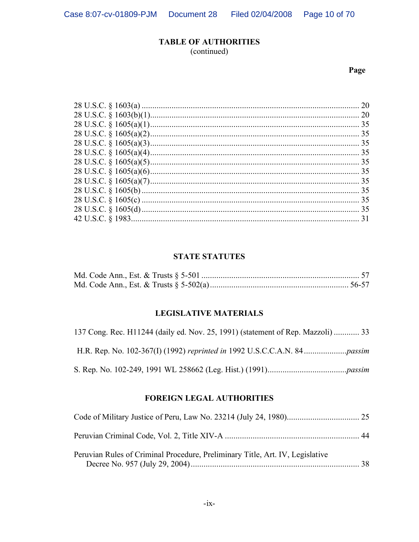(continued)

# Page

| 20 |
|----|
| 20 |
| 35 |
| 35 |
| 35 |
|    |
|    |
| 35 |
| 35 |
| 35 |
| 35 |
| 35 |
| 31 |
|    |

## **STATE STATUTES**

## **LEGISLATIVE MATERIALS**

| 137 Cong. Rec. H11244 (daily ed. Nov. 25, 1991) (statement of Rep. Mazzoli)  33 |
|---------------------------------------------------------------------------------|
|                                                                                 |
|                                                                                 |

# **FOREIGN LEGAL AUTHORITIES**

| Peruvian Rules of Criminal Procedure, Preliminary Title, Art. IV, Legislative |  |
|-------------------------------------------------------------------------------|--|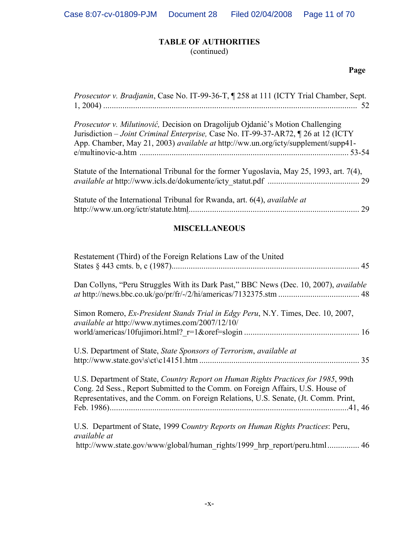(continued)

# **Page**

| Prosecutor v. Bradjanin, Case No. IT-99-36-T, ¶ 258 at 111 (ICTY Trial Chamber, Sept.                                                                                                                                                                             |  |
|-------------------------------------------------------------------------------------------------------------------------------------------------------------------------------------------------------------------------------------------------------------------|--|
| <i>Prosecutor v. Milutinović</i> , Decision on Dragolijub Ojdanić's Motion Challenging<br>Jurisdiction – Joint Criminal Enterprise, Case No. IT-99-37-AR72, 1 26 at 12 (ICTY<br>App. Chamber, May 21, 2003) available at http://ww.un.org/icty/supplement/supp41- |  |
| Statute of the International Tribunal for the former Yugoslavia, May 25, 1993, art. 7(4),                                                                                                                                                                         |  |
| Statute of the International Tribunal for Rwanda, art. 6(4), <i>available at</i>                                                                                                                                                                                  |  |

# **MISCELLANEOUS**

| Restatement (Third) of the Foreign Relations Law of the United                                                                                                                                                                                              |  |
|-------------------------------------------------------------------------------------------------------------------------------------------------------------------------------------------------------------------------------------------------------------|--|
| Dan Collyns, "Peru Struggles With its Dark Past," BBC News (Dec. 10, 2007), <i>available</i>                                                                                                                                                                |  |
| Simon Romero, Ex-President Stands Trial in Edgy Peru, N.Y. Times, Dec. 10, 2007,<br>available at http://www.nytimes.com/2007/12/10/                                                                                                                         |  |
|                                                                                                                                                                                                                                                             |  |
| U.S. Department of State, State Sponsors of Terrorism, available at                                                                                                                                                                                         |  |
| U.S. Department of State, Country Report on Human Rights Practices for 1985, 99th<br>Cong. 2d Sess., Report Submitted to the Comm. on Foreign Affairs, U.S. House of<br>Representatives, and the Comm. on Foreign Relations, U.S. Senate, (Jt. Comm. Print, |  |
| U.S. Department of State, 1999 Country Reports on Human Rights Practices: Peru,<br>available at<br>http://www.state.gov/www/global/human rights/1999 hrp report/peru.html 46                                                                                |  |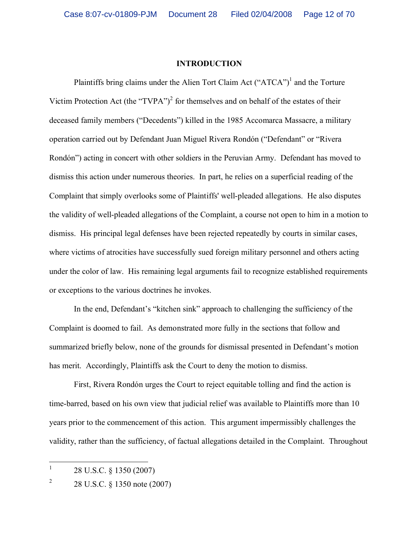#### **INTRODUCTION**

Plaintiffs bring claims under the Alien Tort Claim Act  $("ATCA")^1$  and the Torture Victim Protection Act (the "TVPA")<sup>2</sup> for themselves and on behalf of the estates of their deceased family members ("Decedents") killed in the 1985 Accomarca Massacre, a military operation carried out by Defendant Juan Miguel Rivera Rondón ("Defendant" or "Rivera Rondón") acting in concert with other soldiers in the Peruvian Army. Defendant has moved to dismiss this action under numerous theories. In part, he relies on a superficial reading of the Complaint that simply overlooks some of Plaintiffs' well-pleaded allegations. He also disputes the validity of well-pleaded allegations of the Complaint, a course not open to him in a motion to dismiss. His principal legal defenses have been rejected repeatedly by courts in similar cases, where victims of atrocities have successfully sued foreign military personnel and others acting under the color of law. His remaining legal arguments fail to recognize established requirements or exceptions to the various doctrines he invokes.

In the end, Defendant's "kitchen sink" approach to challenging the sufficiency of the Complaint is doomed to fail. As demonstrated more fully in the sections that follow and summarized briefly below, none of the grounds for dismissal presented in Defendant's motion has merit. Accordingly, Plaintiffs ask the Court to deny the motion to dismiss.

First, Rivera Rondón urges the Court to reject equitable tolling and find the action is time-barred, based on his own view that judicial relief was available to Plaintiffs more than 10 years prior to the commencement of this action. This argument impermissibly challenges the validity, rather than the sufficiency, of factual allegations detailed in the Complaint. Throughout

<sup>1</sup> 28 U.S.C. § 1350 (2007)

<sup>2</sup> 28 U.S.C. § 1350 note (2007)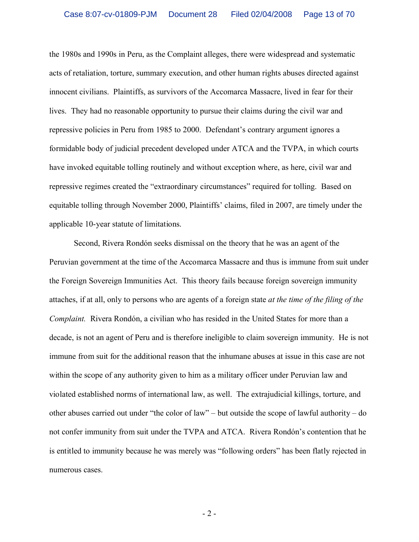the 1980s and 1990s in Peru, as the Complaint alleges, there were widespread and systematic acts of retaliation, torture, summary execution, and other human rights abuses directed against innocent civilians. Plaintiffs, as survivors of the Accomarca Massacre, lived in fear for their lives. They had no reasonable opportunity to pursue their claims during the civil war and repressive policies in Peru from 1985 to 2000. Defendant's contrary argument ignores a formidable body of judicial precedent developed under ATCA and the TVPA, in which courts have invoked equitable tolling routinely and without exception where, as here, civil war and repressive regimes created the "extraordinary circumstances" required for tolling. Based on equitable tolling through November 2000, Plaintiffs' claims, filed in 2007, are timely under the applicable 10-year statute of limitations.

Second, Rivera Rondón seeks dismissal on the theory that he was an agent of the Peruvian government at the time of the Accomarca Massacre and thus is immune from suit under the Foreign Sovereign Immunities Act. This theory fails because foreign sovereign immunity attaches, if at all, only to persons who are agents of a foreign state *at the time of the filing of the Complaint.* Rivera Rondón, a civilian who has resided in the United States for more than a decade, is not an agent of Peru and is therefore ineligible to claim sovereign immunity. He is not immune from suit for the additional reason that the inhumane abuses at issue in this case are not within the scope of any authority given to him as a military officer under Peruvian law and violated established norms of international law, as well. The extrajudicial killings, torture, and other abuses carried out under "the color of law" – but outside the scope of lawful authority – do not confer immunity from suit under the TVPA and ATCA. Rivera Rondón's contention that he is entitled to immunity because he was merely was "following orders" has been flatly rejected in numerous cases.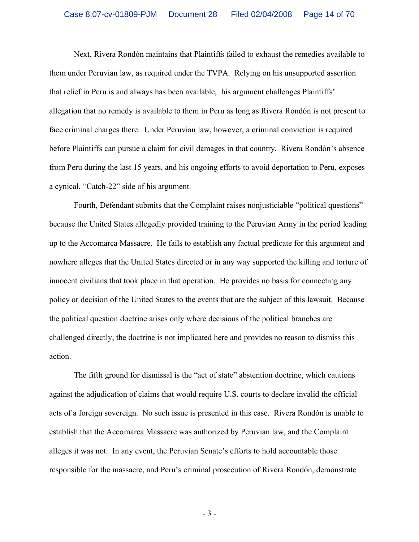Next, Rivera Rondón maintains that Plaintiffs failed to exhaust the remedies available to them under Peruvian law, as required under the TVPA. Relying on his unsupported assertion that relief in Peru is and always has been available, his argument challenges Plaintiffs' allegation that no remedy is available to them in Peru as long as Rivera Rondón is not present to face criminal charges there. Under Peruvian law, however, a criminal conviction is required before Plaintiffs can pursue a claim for civil damages in that country. Rivera Rondón's absence from Peru during the last 15 years, and his ongoing efforts to avoid deportation to Peru, exposes a cynical, "Catch-22" side of his argument.

Fourth, Defendant submits that the Complaint raises nonjusticiable "political questions" because the United States allegedly provided training to the Peruvian Army in the period leading up to the Accomarca Massacre. He fails to establish any factual predicate for this argument and nowhere alleges that the United States directed or in any way supported the killing and torture of innocent civilians that took place in that operation. He provides no basis for connecting any policy or decision of the United States to the events that are the subject of this lawsuit. Because the political question doctrine arises only where decisions of the political branches are challenged directly, the doctrine is not implicated here and provides no reason to dismiss this action.

The fifth ground for dismissal is the "act of state" abstention doctrine, which cautions against the adjudication of claims that would require U.S. courts to declare invalid the official acts of a foreign sovereign. No such issue is presented in this case. Rivera Rondón is unable to establish that the Accomarca Massacre was authorized by Peruvian law, and the Complaint alleges it was not. In any event, the Peruvian Senate's efforts to hold accountable those responsible for the massacre, and Peru's criminal prosecution of Rivera Rondón, demonstrate

- 3 -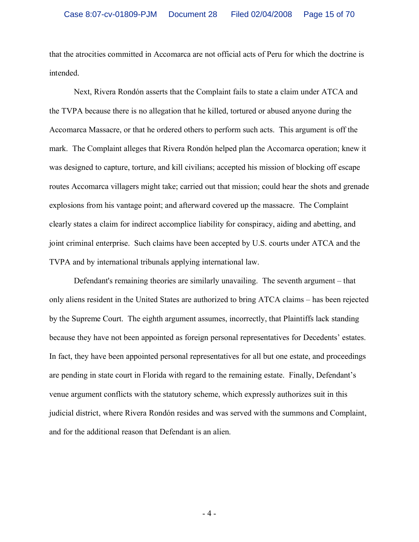that the atrocities committed in Accomarca are not official acts of Peru for which the doctrine is intended.

Next, Rivera Rondón asserts that the Complaint fails to state a claim under ATCA and the TVPA because there is no allegation that he killed, tortured or abused anyone during the Accomarca Massacre, or that he ordered others to perform such acts. This argument is off the mark. The Complaint alleges that Rivera Rondón helped plan the Accomarca operation; knew it was designed to capture, torture, and kill civilians; accepted his mission of blocking off escape routes Accomarca villagers might take; carried out that mission; could hear the shots and grenade explosions from his vantage point; and afterward covered up the massacre. The Complaint clearly states a claim for indirect accomplice liability for conspiracy, aiding and abetting, and joint criminal enterprise. Such claims have been accepted by U.S. courts under ATCA and the TVPA and by international tribunals applying international law.

Defendant's remaining theories are similarly unavailing. The seventh argument – that only aliens resident in the United States are authorized to bring ATCA claims – has been rejected by the Supreme Court. The eighth argument assumes, incorrectly, that Plaintiffs lack standing because they have not been appointed as foreign personal representatives for Decedents' estates. In fact, they have been appointed personal representatives for all but one estate, and proceedings are pending in state court in Florida with regard to the remaining estate. Finally, Defendant's venue argument conflicts with the statutory scheme, which expressly authorizes suit in this judicial district, where Rivera Rondón resides and was served with the summons and Complaint, and for the additional reason that Defendant is an alien.

- 4 -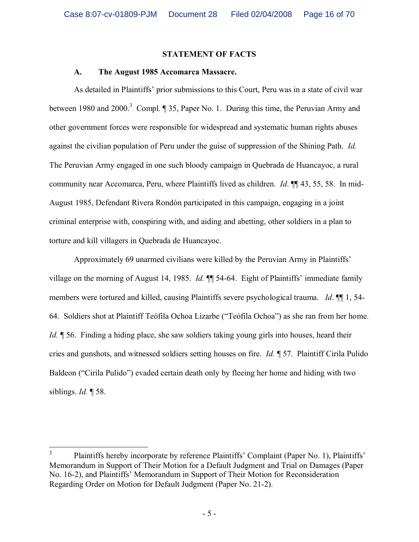#### **STATEMENT OF FACTS**

#### **A. The August 1985 Accomarca Massacre.**

As detailed in Plaintiffs' prior submissions to this Court, Peru was in a state of civil war between 1980 and 2000.<sup>3</sup> Compl. ¶ 35, Paper No. 1. During this time, the Peruvian Army and other government forces were responsible for widespread and systematic human rights abuses against the civilian population of Peru under the guise of suppression of the Shining Path. *Id.* The Peruvian Army engaged in one such bloody campaign in Quebrada de Huancayoc, a rural community near Accomarca, Peru, where Plaintiffs lived as children. *Id*. ¶¶ 43, 55, 58. In mid-August 1985, Defendant Rivera Rondón participated in this campaign, engaging in a joint criminal enterprise with, conspiring with, and aiding and abetting, other soldiers in a plan to torture and kill villagers in Quebrada de Huancayoc.

Approximately 69 unarmed civilians were killed by the Peruvian Army in Plaintiffs' village on the morning of August 14, 1985. *Id.* ¶¶ 54-64. Eight of Plaintiffs' immediate family members were tortured and killed, causing Plaintiffs severe psychological trauma. *Id*. ¶¶ 1, 54- 64. Soldiers shot at Plaintiff Teófila Ochoa Lizarbe ("Teófila Ochoa") as she ran from her home. *Id.*  $\parallel$  56. Finding a hiding place, she saw soldiers taking young girls into houses, heard their cries and gunshots, and witnessed soldiers setting houses on fire. *Id.* ¶ 57. Plaintiff Cirila Pulido Baldeon ("Cirila Pulido") evaded certain death only by fleeing her home and hiding with two siblings. *Id.* ¶ 58.

<sup>3</sup> Plaintiffs hereby incorporate by reference Plaintiffs' Complaint (Paper No. 1), Plaintiffs' Memorandum in Support of Their Motion for a Default Judgment and Trial on Damages (Paper No. 16-2), and Plaintiffs' Memorandum in Support of Their Motion for Reconsideration Regarding Order on Motion for Default Judgment (Paper No. 21-2).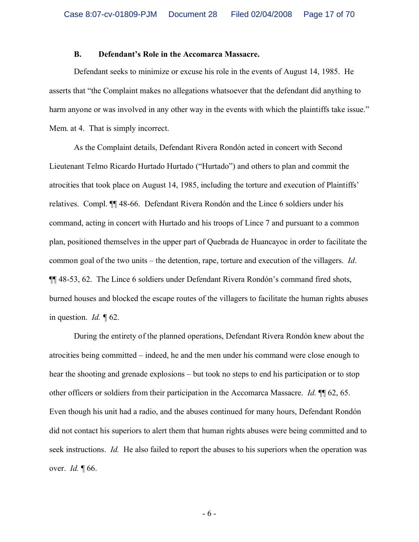#### **B. Defendant's Role in the Accomarca Massacre.**

Defendant seeks to minimize or excuse his role in the events of August 14, 1985. He asserts that "the Complaint makes no allegations whatsoever that the defendant did anything to harm anyone or was involved in any other way in the events with which the plaintiffs take issue." Mem. at 4. That is simply incorrect.

As the Complaint details, Defendant Rivera Rondón acted in concert with Second Lieutenant Telmo Ricardo Hurtado Hurtado ("Hurtado") and others to plan and commit the atrocities that took place on August 14, 1985, including the torture and execution of Plaintiffs' relatives. Compl. ¶¶ 48-66. Defendant Rivera Rondón and the Lince 6 soldiers under his command, acting in concert with Hurtado and his troops of Lince 7 and pursuant to a common plan, positioned themselves in the upper part of Quebrada de Huancayoc in order to facilitate the common goal of the two units – the detention, rape, torture and execution of the villagers. *Id*. ¶¶ 48-53, 62. The Lince 6 soldiers under Defendant Rivera Rondón's command fired shots, burned houses and blocked the escape routes of the villagers to facilitate the human rights abuses in question. *Id. ¶* 62.

During the entirety of the planned operations, Defendant Rivera Rondón knew about the atrocities being committed – indeed, he and the men under his command were close enough to hear the shooting and grenade explosions – but took no steps to end his participation or to stop other officers or soldiers from their participation in the Accomarca Massacre. *Id.* ¶¶ 62, 65. Even though his unit had a radio, and the abuses continued for many hours, Defendant Rondón did not contact his superiors to alert them that human rights abuses were being committed and to seek instructions. *Id.* He also failed to report the abuses to his superiors when the operation was over. *Id.* ¶ 66.

- 6 -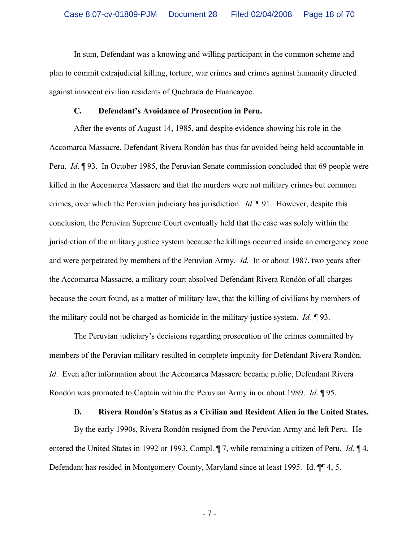In sum, Defendant was a knowing and willing participant in the common scheme and plan to commit extrajudicial killing, torture, war crimes and crimes against humanity directed against innocent civilian residents of Quebrada de Huancayoc.

#### **C. Defendant's Avoidance of Prosecution in Peru.**

After the events of August 14, 1985, and despite evidence showing his role in the Accomarca Massacre, Defendant Rivera Rondón has thus far avoided being held accountable in Peru. *Id*. ¶ 93. In October 1985, the Peruvian Senate commission concluded that 69 people were killed in the Accomarca Massacre and that the murders were not military crimes but common crimes, over which the Peruvian judiciary has jurisdiction. *Id*. ¶ 91. However, despite this conclusion, the Peruvian Supreme Court eventually held that the case was solely within the jurisdiction of the military justice system because the killings occurred inside an emergency zone and were perpetrated by members of the Peruvian Army. *Id.* In or about 1987, two years after the Accomarca Massacre, a military court absolved Defendant Rivera Rondón of all charges because the court found, as a matter of military law, that the killing of civilians by members of the military could not be charged as homicide in the military justice system. *Id. ¶* 93.

The Peruvian judiciary's decisions regarding prosecution of the crimes committed by members of the Peruvian military resulted in complete impunity for Defendant Rivera Rondón. *Id*. Even after information about the Accomarca Massacre became public, Defendant Rivera Rondón was promoted to Captain within the Peruvian Army in or about 1989. *Id*. ¶ 95.

## **D. Rivera Rondón's Status as a Civilian and Resident Alien in the United States.**

By the early 1990s, Rivera Rondón resigned from the Peruvian Army and left Peru. He entered the United States in 1992 or 1993, Compl. ¶ 7, while remaining a citizen of Peru. *Id.* ¶ 4. Defendant has resided in Montgomery County, Maryland since at least 1995. Id. ¶¶ 4, 5.

- 7 -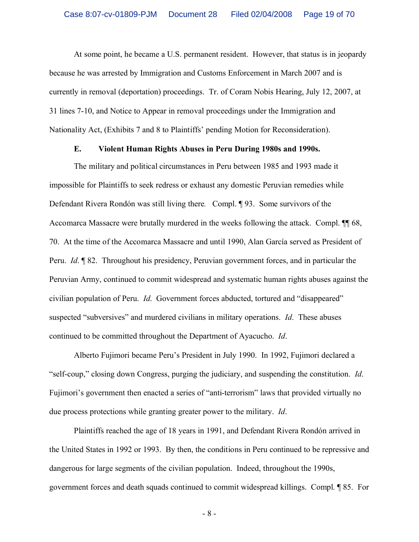At some point, he became a U.S. permanent resident. However, that status is in jeopardy because he was arrested by Immigration and Customs Enforcement in March 2007 and is currently in removal (deportation) proceedings. Tr. of Coram Nobis Hearing, July 12, 2007, at 31 lines 7-10, and Notice to Appear in removal proceedings under the Immigration and Nationality Act, (Exhibits 7 and 8 to Plaintiffs' pending Motion for Reconsideration).

#### **E. Violent Human Rights Abuses in Peru During 1980s and 1990s.**

The military and political circumstances in Peru between 1985 and 1993 made it impossible for Plaintiffs to seek redress or exhaust any domestic Peruvian remedies while Defendant Rivera Rondón was still living there*.* Compl. ¶ 93. Some survivors of the Accomarca Massacre were brutally murdered in the weeks following the attack. Compl. ¶¶ 68, 70. At the time of the Accomarca Massacre and until 1990, Alan García served as President of Peru. *Id*. ¶ 82. Throughout his presidency, Peruvian government forces, and in particular the Peruvian Army, continued to commit widespread and systematic human rights abuses against the civilian population of Peru. *Id*. Government forces abducted, tortured and "disappeared" suspected "subversives" and murdered civilians in military operations. *Id*. These abuses continued to be committed throughout the Department of Ayacucho. *Id*.

Alberto Fujimori became Peru's President in July 1990. In 1992, Fujimori declared a "self-coup," closing down Congress, purging the judiciary, and suspending the constitution. *Id*. Fujimori's government then enacted a series of "anti-terrorism" laws that provided virtually no due process protections while granting greater power to the military. *Id*.

Plaintiffs reached the age of 18 years in 1991, and Defendant Rivera Rondón arrived in the United States in 1992 or 1993. By then, the conditions in Peru continued to be repressive and dangerous for large segments of the civilian population. Indeed, throughout the 1990s, government forces and death squads continued to commit widespread killings. Compl. ¶ 85. For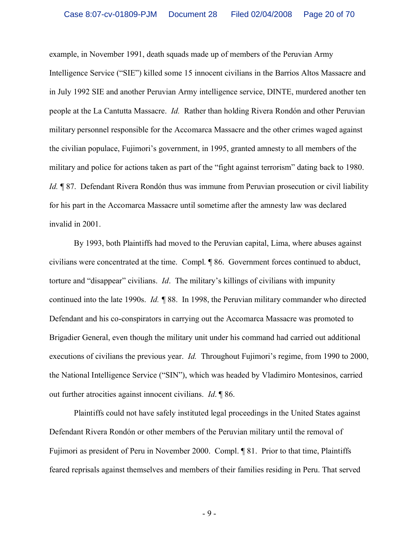example, in November 1991, death squads made up of members of the Peruvian Army Intelligence Service ("SIE") killed some 15 innocent civilians in the Barrios Altos Massacre and in July 1992 SIE and another Peruvian Army intelligence service, DINTE, murdered another ten people at the La Cantutta Massacre. *Id.* Rather than holding Rivera Rondón and other Peruvian military personnel responsible for the Accomarca Massacre and the other crimes waged against the civilian populace, Fujimori's government, in 1995, granted amnesty to all members of the military and police for actions taken as part of the "fight against terrorism" dating back to 1980. *Id.* ¶ 87. Defendant Rivera Rondón thus was immune from Peruvian prosecution or civil liability for his part in the Accomarca Massacre until sometime after the amnesty law was declared invalid in 2001.

By 1993, both Plaintiffs had moved to the Peruvian capital, Lima, where abuses against civilians were concentrated at the time. Compl. ¶ 86. Government forces continued to abduct, torture and "disappear" civilians. *Id*. The military's killings of civilians with impunity continued into the late 1990s. *Id. ¶* 88. In 1998, the Peruvian military commander who directed Defendant and his co-conspirators in carrying out the Accomarca Massacre was promoted to Brigadier General, even though the military unit under his command had carried out additional executions of civilians the previous year. *Id.* Throughout Fujimori's regime, from 1990 to 2000, the National Intelligence Service ("SIN"), which was headed by Vladimiro Montesinos, carried out further atrocities against innocent civilians. *Id*. ¶ 86.

Plaintiffs could not have safely instituted legal proceedings in the United States against Defendant Rivera Rondón or other members of the Peruvian military until the removal of Fujimori as president of Peru in November 2000. Compl. ¶ 81. Prior to that time, Plaintiffs feared reprisals against themselves and members of their families residing in Peru. That served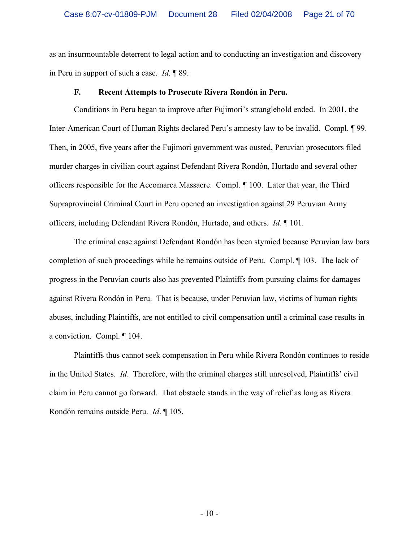as an insurmountable deterrent to legal action and to conducting an investigation and discovery in Peru in support of such a case. *Id.* ¶ 89.

#### **F. Recent Attempts to Prosecute Rivera Rondón in Peru.**

Conditions in Peru began to improve after Fujimori's stranglehold ended. In 2001, the Inter-American Court of Human Rights declared Peru's amnesty law to be invalid. Compl. ¶ 99. Then, in 2005, five years after the Fujimori government was ousted, Peruvian prosecutors filed murder charges in civilian court against Defendant Rivera Rondón, Hurtado and several other officers responsible for the Accomarca Massacre. Compl. *¶* 100. Later that year, the Third Supraprovincial Criminal Court in Peru opened an investigation against 29 Peruvian Army officers, including Defendant Rivera Rondón, Hurtado, and others. *Id*. ¶ 101.

The criminal case against Defendant Rondón has been stymied because Peruvian law bars completion of such proceedings while he remains outside of Peru. Compl. ¶ 103. The lack of progress in the Peruvian courts also has prevented Plaintiffs from pursuing claims for damages against Rivera Rondón in Peru. That is because, under Peruvian law, victims of human rights abuses, including Plaintiffs, are not entitled to civil compensation until a criminal case results in a conviction. Compl. ¶ 104.

Plaintiffs thus cannot seek compensation in Peru while Rivera Rondón continues to reside in the United States. *Id*. Therefore, with the criminal charges still unresolved, Plaintiffs' civil claim in Peru cannot go forward. That obstacle stands in the way of relief as long as Rivera Rondón remains outside Peru. *Id*. ¶ 105.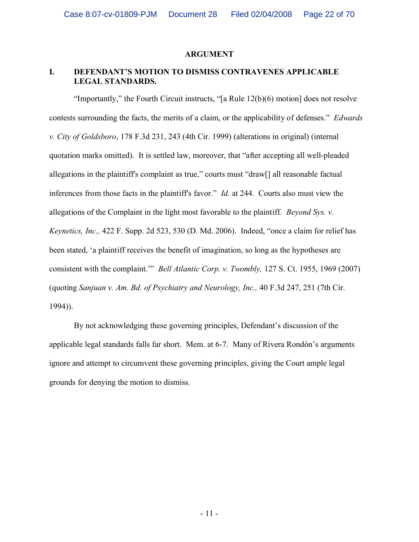#### **ARGUMENT**

#### **I. DEFENDANT'S MOTION TO DISMISS CONTRAVENES APPLICABLE LEGAL STANDARDS.**

"Importantly," the Fourth Circuit instructs, "[a Rule 12(b)(6) motion] does not resolve contests surrounding the facts, the merits of a claim, or the applicability of defenses." *Edwards v. City of Goldsboro*, 178 F.3d 231, 243 (4th Cir. 1999) (alterations in original) (internal quotation marks omitted). It is settled law, moreover, that "after accepting all well-pleaded allegations in the plaintiff's complaint as true," courts must "draw[] all reasonable factual inferences from those facts in the plaintiff's favor." *Id.* at 244. Courts also must view the allegations of the Complaint in the light most favorable to the plaintiff. *Beyond Sys. v. Keynetics, Inc.,* 422 F. Supp. 2d 523, 530 (D. Md. 2006). Indeed, "once a claim for relief has been stated, 'a plaintiff receives the benefit of imagination, so long as the hypotheses are consistent with the complaint.'" *Bell Atlantic Corp. v. Twombly,* 127 S. Ct. 1955, 1969 (2007) (quoting *Sanjuan v. Am. Bd. of Psychiatry and Neurology, Inc.,* 40 F.3d 247, 251 (7th Cir. 1994)).

By not acknowledging these governing principles, Defendant's discussion of the applicable legal standards falls far short. Mem. at 6-7. Many of Rivera Rondón's arguments ignore and attempt to circumvent these governing principles, giving the Court ample legal grounds for denying the motion to dismiss.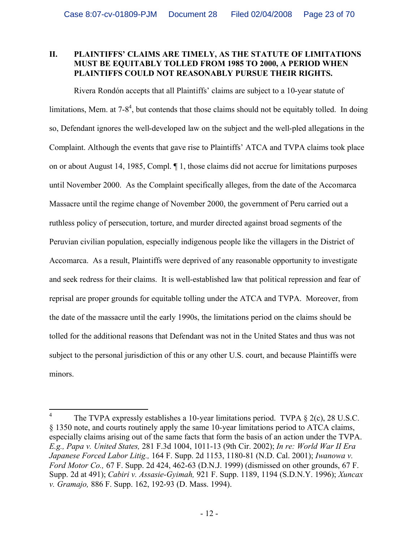#### **II. PLAINTIFFS' CLAIMS ARE TIMELY, AS THE STATUTE OF LIMITATIONS MUST BE EQUITABLY TOLLED FROM 1985 TO 2000, A PERIOD WHEN PLAINTIFFS COULD NOT REASONABLY PURSUE THEIR RIGHTS.**

Rivera Rondón accepts that all Plaintiffs' claims are subject to a 10-year statute of limitations, Mem. at  $7-8^4$ , but contends that those claims should not be equitably tolled. In doing so, Defendant ignores the well-developed law on the subject and the well-pled allegations in the Complaint. Although the events that gave rise to Plaintiffs' ATCA and TVPA claims took place on or about August 14, 1985, Compl. ¶ 1, those claims did not accrue for limitations purposes until November 2000. As the Complaint specifically alleges, from the date of the Accomarca Massacre until the regime change of November 2000, the government of Peru carried out a ruthless policy of persecution, torture, and murder directed against broad segments of the Peruvian civilian population, especially indigenous people like the villagers in the District of Accomarca. As a result, Plaintiffs were deprived of any reasonable opportunity to investigate and seek redress for their claims. It is well-established law that political repression and fear of reprisal are proper grounds for equitable tolling under the ATCA and TVPA. Moreover, from the date of the massacre until the early 1990s, the limitations period on the claims should be tolled for the additional reasons that Defendant was not in the United States and thus was not subject to the personal jurisdiction of this or any other U.S. court, and because Plaintiffs were minors.

<sup>4</sup> The TVPA expressly establishes a 10-year limitations period. TVPA § 2(c), 28 U.S.C. § 1350 note, and courts routinely apply the same 10-year limitations period to ATCA claims, especially claims arising out of the same facts that form the basis of an action under the TVPA. *E.g., Papa v. United States,* 281 F.3d 1004, 1011-13 (9th Cir. 2002); *In re: World War II Era Japanese Forced Labor Litig.,* 164 F. Supp. 2d 1153, 1180-81 (N.D. Cal. 2001); *Iwanowa v. Ford Motor Co.,* 67 F. Supp. 2d 424, 462-63 (D.N.J. 1999) (dismissed on other grounds, 67 F. Supp. 2d at 491); *Cabiri v. Assasie-Gyimah,* 921 F. Supp. 1189, 1194 (S.D.N.Y. 1996); *Xuncax v. Gramajo,* 886 F. Supp. 162, 192-93 (D. Mass. 1994).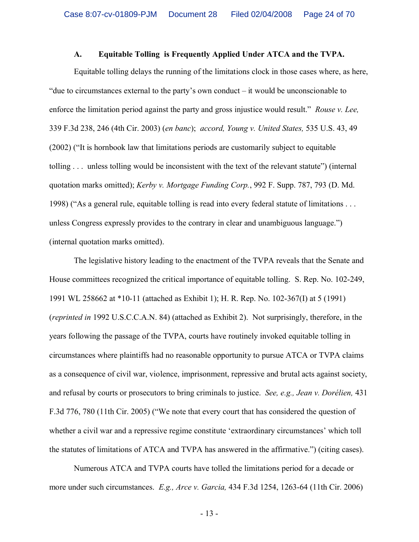#### **A. Equitable Tolling is Frequently Applied Under ATCA and the TVPA.**

Equitable tolling delays the running of the limitations clock in those cases where, as here, "due to circumstances external to the party's own conduct – it would be unconscionable to enforce the limitation period against the party and gross injustice would result." *Rouse v. Lee,*  339 F.3d 238, 246 (4th Cir. 2003) (*en banc*); *accord, Young v. United States,* 535 U.S. 43, 49 (2002) ("It is hornbook law that limitations periods are customarily subject to equitable tolling . . . unless tolling would be inconsistent with the text of the relevant statute") (internal quotation marks omitted); *Kerby v. Mortgage Funding Corp.*, 992 F. Supp. 787, 793 (D. Md. 1998) ("As a general rule, equitable tolling is read into every federal statute of limitations . . . unless Congress expressly provides to the contrary in clear and unambiguous language.") (internal quotation marks omitted).

The legislative history leading to the enactment of the TVPA reveals that the Senate and House committees recognized the critical importance of equitable tolling. S. Rep. No. 102-249, 1991 WL 258662 at \*10-11 (attached as Exhibit 1); H. R. Rep. No. 102-367(I) at 5 (1991) (*reprinted in* 1992 U.S.C.C.A.N. 84) (attached as Exhibit 2). Not surprisingly, therefore, in the years following the passage of the TVPA, courts have routinely invoked equitable tolling in circumstances where plaintiffs had no reasonable opportunity to pursue ATCA or TVPA claims as a consequence of civil war, violence, imprisonment, repressive and brutal acts against society, and refusal by courts or prosecutors to bring criminals to justice. *See, e.g., Jean v. Dorélien,* 431 F.3d 776, 780 (11th Cir. 2005) ("We note that every court that has considered the question of whether a civil war and a repressive regime constitute 'extraordinary circumstances' which toll the statutes of limitations of ATCA and TVPA has answered in the affirmative.") (citing cases).

Numerous ATCA and TVPA courts have tolled the limitations period for a decade or more under such circumstances. *E.g., Arce v. Garcia,* 434 F.3d 1254, 1263-64 (11th Cir. 2006)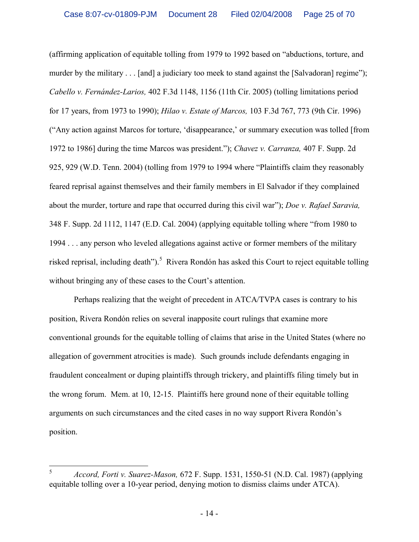(affirming application of equitable tolling from 1979 to 1992 based on "abductions, torture, and murder by the military . . . [and] a judiciary too meek to stand against the [Salvadoran] regime"); *Cabello v. Fernández-Larios,* 402 F.3d 1148, 1156 (11th Cir. 2005) (tolling limitations period for 17 years, from 1973 to 1990); *Hilao v. Estate of Marcos,* 103 F.3d 767, 773 (9th Cir. 1996) ("Any action against Marcos for torture, 'disappearance,' or summary execution was tolled [from 1972 to 1986] during the time Marcos was president."); *Chavez v. Carranza,* 407 F. Supp. 2d 925, 929 (W.D. Tenn. 2004) (tolling from 1979 to 1994 where "Plaintiffs claim they reasonably feared reprisal against themselves and their family members in El Salvador if they complained about the murder, torture and rape that occurred during this civil war"); *Doe v. Rafael Saravia,* 348 F. Supp. 2d 1112, 1147 (E.D. Cal. 2004) (applying equitable tolling where "from 1980 to 1994 . . . any person who leveled allegations against active or former members of the military risked reprisal, including death").<sup>5</sup> Rivera Rondón has asked this Court to reject equitable tolling without bringing any of these cases to the Court's attention.

Perhaps realizing that the weight of precedent in ATCA/TVPA cases is contrary to his position, Rivera Rondón relies on several inapposite court rulings that examine more conventional grounds for the equitable tolling of claims that arise in the United States (where no allegation of government atrocities is made). Such grounds include defendants engaging in fraudulent concealment or duping plaintiffs through trickery, and plaintiffs filing timely but in the wrong forum. Mem. at 10, 12-15. Plaintiffs here ground none of their equitable tolling arguments on such circumstances and the cited cases in no way support Rivera Rondón's position.

<sup>5</sup> *Accord, Forti v. Suarez-Mason,* 672 F. Supp. 1531, 1550-51 (N.D. Cal. 1987) (applying equitable tolling over a 10-year period, denying motion to dismiss claims under ATCA).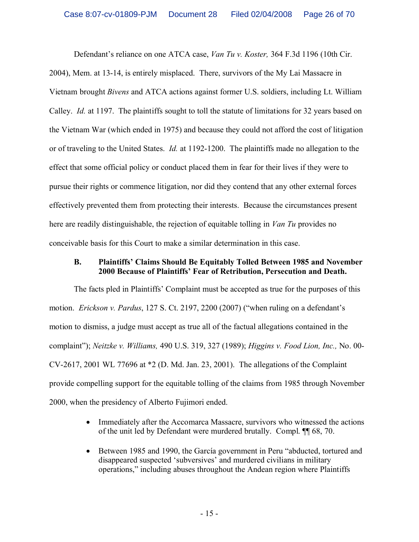Defendant's reliance on one ATCA case, *Van Tu v. Koster,* 364 F.3d 1196 (10th Cir. 2004), Mem. at 13-14, is entirely misplaced. There, survivors of the My Lai Massacre in Vietnam brought *Bivens* and ATCA actions against former U.S. soldiers, including Lt. William Calley. *Id.* at 1197. The plaintiffs sought to toll the statute of limitations for 32 years based on the Vietnam War (which ended in 1975) and because they could not afford the cost of litigation or of traveling to the United States. *Id.* at 1192-1200. The plaintiffs made no allegation to the effect that some official policy or conduct placed them in fear for their lives if they were to pursue their rights or commence litigation, nor did they contend that any other external forces effectively prevented them from protecting their interests. Because the circumstances present here are readily distinguishable, the rejection of equitable tolling in *Van Tu* provides no conceivable basis for this Court to make a similar determination in this case.

#### **B. Plaintiffs' Claims Should Be Equitably Tolled Between 1985 and November 2000 Because of Plaintiffs' Fear of Retribution, Persecution and Death.**

The facts pled in Plaintiffs' Complaint must be accepted as true for the purposes of this motion. *Erickson v. Pardus*, 127 S. Ct. 2197, 2200 (2007) ("when ruling on a defendant's motion to dismiss, a judge must accept as true all of the factual allegations contained in the complaint"); *Neitzke v. Williams,* 490 U.S. 319, 327 (1989); *Higgins v. Food Lion, Inc.,* No. 00- CV-2617, 2001 WL 77696 at \*2 (D. Md. Jan. 23, 2001). The allegations of the Complaint provide compelling support for the equitable tolling of the claims from 1985 through November 2000, when the presidency of Alberto Fujimori ended.

- Immediately after the Accomarca Massacre, survivors who witnessed the actions of the unit led by Defendant were murdered brutally. Compl. ¶¶ 68, 70.
- · Between 1985 and 1990, the García government in Peru "abducted, tortured and disappeared suspected 'subversives' and murdered civilians in military operations," including abuses throughout the Andean region where Plaintiffs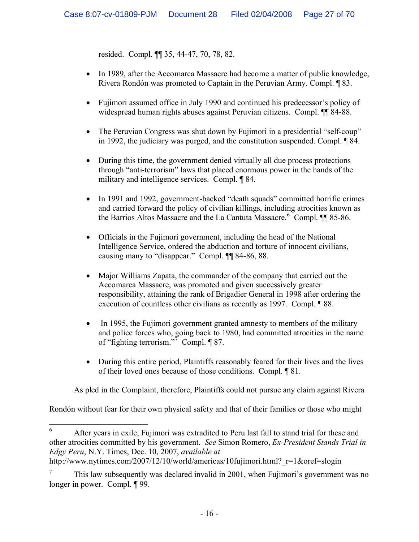resided. Compl. ¶¶ 35, 44-47, 70, 78, 82.

- In 1989, after the Accomarca Massacre had become a matter of public knowledge, Rivera Rondón was promoted to Captain in the Peruvian Army. Compl. ¶ 83.
- · Fujimori assumed office in July 1990 and continued his predecessor's policy of widespread human rights abuses against Peruvian citizens. Compl. <sup>11</sup> 84-88.
- The Peruvian Congress was shut down by Fujimori in a presidential "self-coup" in 1992, the judiciary was purged, and the constitution suspended. Compl. ¶ 84.
- · During this time, the government denied virtually all due process protections through "anti-terrorism" laws that placed enormous power in the hands of the military and intelligence services. Compl. ¶ 84.
- In 1991 and 1992, government-backed "death squads" committed horrific crimes and carried forward the policy of civilian killings, including atrocities known as the Barrios Altos Massacre and the La Cantuta Massacre.<sup>6</sup> Compl. **[14**] 85-86.
- Officials in the Fujimori government, including the head of the National Intelligence Service, ordered the abduction and torture of innocent civilians, causing many to "disappear." Compl. ¶¶ 84-86, 88.
- Major Williams Zapata, the commander of the company that carried out the Accomarca Massacre, was promoted and given successively greater responsibility, attaining the rank of Brigadier General in 1998 after ordering the execution of countless other civilians as recently as 1997. Compl. ¶ 88.
- In 1995, the Fujimori government granted amnesty to members of the military and police forces who, going back to 1980, had committed atrocities in the name of "fighting terrorism."<sup>7</sup> Compl. ¶ 87.
- During this entire period, Plaintiffs reasonably feared for their lives and the lives of their loved ones because of those conditions. Compl. ¶ 81.

As pled in the Complaint, therefore, Plaintiffs could not pursue any claim against Rivera

Rondón without fear for their own physical safety and that of their families or those who might

http://www.nytimes.com/2007/12/10/world/americas/10fujimori.html? r=1&oref=slogin

<sup>6</sup> After years in exile, Fujimori was extradited to Peru last fall to stand trial for these and other atrocities committed by his government. *See* Simon Romero, *Ex-President Stands Trial in Edgy Peru*, N.Y. Times, Dec. 10, 2007, *available at*

<sup>7</sup> This law subsequently was declared invalid in 2001, when Fujimori's government was no longer in power. Compl. ¶ 99.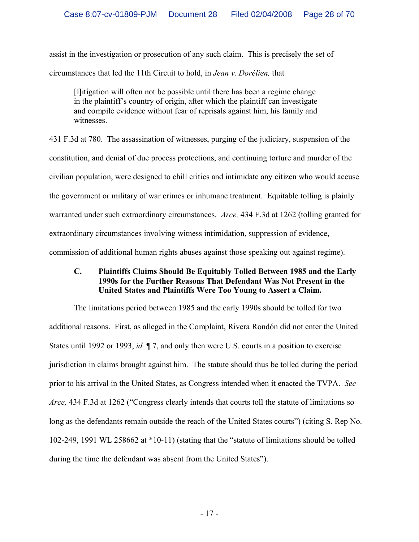assist in the investigation or prosecution of any such claim. This is precisely the set of circumstances that led the 11th Circuit to hold, in *Jean v. Dorélien,* that

[l]itigation will often not be possible until there has been a regime change in the plaintiff's country of origin, after which the plaintiff can investigate and compile evidence without fear of reprisals against him, his family and witnesses.

431 F.3d at 780. The assassination of witnesses, purging of the judiciary, suspension of the constitution, and denial of due process protections, and continuing torture and murder of the civilian population, were designed to chill critics and intimidate any citizen who would accuse the government or military of war crimes or inhumane treatment. Equitable tolling is plainly warranted under such extraordinary circumstances. *Arce,* 434 F.3d at 1262 (tolling granted for extraordinary circumstances involving witness intimidation, suppression of evidence, commission of additional human rights abuses against those speaking out against regime).

## **C. Plaintiffs Claims Should Be Equitably Tolled Between 1985 and the Early 1990s for the Further Reasons That Defendant Was Not Present in the United States and Plaintiffs Were Too Young to Assert a Claim.**

The limitations period between 1985 and the early 1990s should be tolled for two additional reasons. First, as alleged in the Complaint, Rivera Rondón did not enter the United States until 1992 or 1993, *id.* ¶ 7, and only then were U.S. courts in a position to exercise jurisdiction in claims brought against him. The statute should thus be tolled during the period prior to his arrival in the United States, as Congress intended when it enacted the TVPA. *See Arce,* 434 F.3d at 1262 ("Congress clearly intends that courts toll the statute of limitations so long as the defendants remain outside the reach of the United States courts") (citing S. Rep No. 102-249, 1991 WL 258662 at \*10-11) (stating that the "statute of limitations should be tolled during the time the defendant was absent from the United States").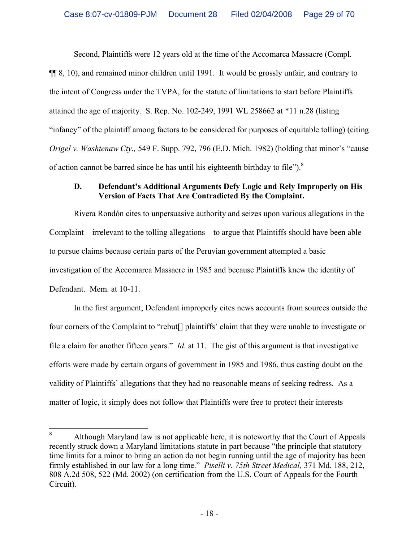Second, Plaintiffs were 12 years old at the time of the Accomarca Massacre (Compl.

¶¶ 8, 10), and remained minor children until 1991. It would be grossly unfair, and contrary to the intent of Congress under the TVPA, for the statute of limitations to start before Plaintiffs attained the age of majority. S. Rep. No. 102-249, 1991 WL 258662 at \*11 n.28 (listing "infancy" of the plaintiff among factors to be considered for purposes of equitable tolling) (citing *Origel v. Washtenaw Cty.,* 549 F. Supp. 792, 796 (E.D. Mich. 1982) (holding that minor's "cause of action cannot be barred since he has until his eighteenth birthday to file").<sup>8</sup>

## **D. Defendant's Additional Arguments Defy Logic and Rely Improperly on His Version of Facts That Are Contradicted By the Complaint.**

Rivera Rondón cites to unpersuasive authority and seizes upon various allegations in the Complaint – irrelevant to the tolling allegations – to argue that Plaintiffs should have been able to pursue claims because certain parts of the Peruvian government attempted a basic investigation of the Accomarca Massacre in 1985 and because Plaintiffs knew the identity of Defendant. Mem. at 10-11.

In the first argument, Defendant improperly cites news accounts from sources outside the four corners of the Complaint to "rebut<sup>[]</sup> plaintiffs' claim that they were unable to investigate or file a claim for another fifteen years." *Id.* at 11. The gist of this argument is that investigative efforts were made by certain organs of government in 1985 and 1986, thus casting doubt on the validity of Plaintiffs' allegations that they had no reasonable means of seeking redress. As a matter of logic, it simply does not follow that Plaintiffs were free to protect their interests

<sup>&</sup>lt;sup>8</sup> Although Maryland law is not applicable here, it is noteworthy that the Court of Appeals recently struck down a Maryland limitations statute in part because "the principle that statutory time limits for a minor to bring an action do not begin running until the age of majority has been firmly established in our law for a long time." *Piselli v. 75th Street Medical,* 371 Md. 188, 212, 808 A.2d 508, 522 (Md. 2002) (on certification from the U.S. Court of Appeals for the Fourth Circuit).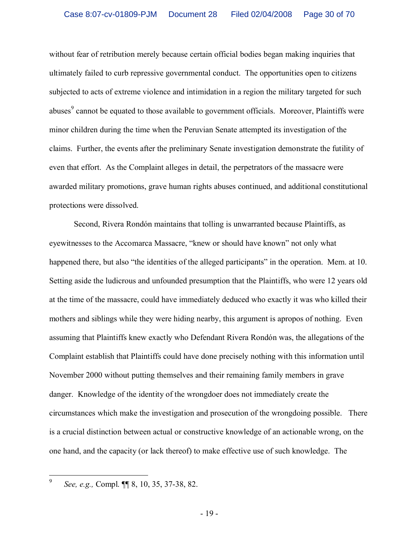without fear of retribution merely because certain official bodies began making inquiries that ultimately failed to curb repressive governmental conduct. The opportunities open to citizens subjected to acts of extreme violence and intimidation in a region the military targeted for such abuses<sup>9</sup> cannot be equated to those available to government officials. Moreover, Plaintiffs were minor children during the time when the Peruvian Senate attempted its investigation of the claims. Further, the events after the preliminary Senate investigation demonstrate the futility of even that effort. As the Complaint alleges in detail, the perpetrators of the massacre were awarded military promotions, grave human rights abuses continued, and additional constitutional protections were dissolved.

Second, Rivera Rondón maintains that tolling is unwarranted because Plaintiffs, as eyewitnesses to the Accomarca Massacre, "knew or should have known" not only what happened there, but also "the identities of the alleged participants" in the operation. Mem. at 10. Setting aside the ludicrous and unfounded presumption that the Plaintiffs, who were 12 years old at the time of the massacre, could have immediately deduced who exactly it was who killed their mothers and siblings while they were hiding nearby, this argument is apropos of nothing. Even assuming that Plaintiffs knew exactly who Defendant Rivera Rondón was, the allegations of the Complaint establish that Plaintiffs could have done precisely nothing with this information until November 2000 without putting themselves and their remaining family members in grave danger. Knowledge of the identity of the wrongdoer does not immediately create the circumstances which make the investigation and prosecution of the wrongdoing possible. There is a crucial distinction between actual or constructive knowledge of an actionable wrong, on the one hand, and the capacity (or lack thereof) to make effective use of such knowledge. The

<sup>9</sup> *See, e.g.,* Compl. ¶¶ 8, 10, 35, 37-38, 82.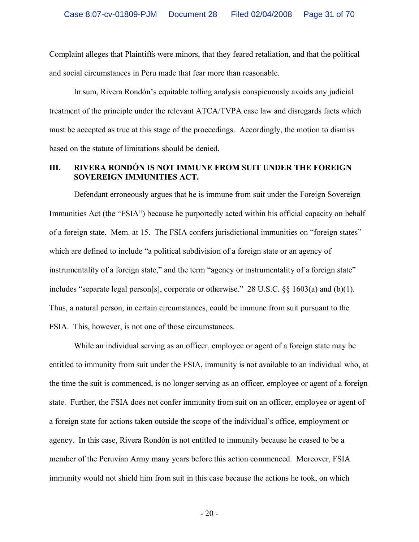Complaint alleges that Plaintiffs were minors, that they feared retaliation, and that the political and social circumstances in Peru made that fear more than reasonable.

In sum, Rivera Rondón's equitable tolling analysis conspicuously avoids any judicial treatment of the principle under the relevant ATCA/TVPA case law and disregards facts which must be accepted as true at this stage of the proceedings. Accordingly, the motion to dismiss based on the statute of limitations should be denied.

#### **III. RIVERA RONDÓN IS NOT IMMUNE FROM SUIT UNDER THE FOREIGN SOVEREIGN IMMUNITIES ACT.**

Defendant erroneously argues that he is immune from suit under the Foreign Sovereign Immunities Act (the "FSIA") because he purportedly acted within his official capacity on behalf of a foreign state. Mem. at 15. The FSIA confers jurisdictional immunities on "foreign states" which are defined to include "a political subdivision of a foreign state or an agency of instrumentality of a foreign state," and the term "agency or instrumentality of a foreign state" includes "separate legal person[s], corporate or otherwise." 28 U.S.C. §§ 1603(a) and (b)(1). Thus, a natural person, in certain circumstances, could be immune from suit pursuant to the FSIA. This, however, is not one of those circumstances.

While an individual serving as an officer, employee or agent of a foreign state may be entitled to immunity from suit under the FSIA, immunity is not available to an individual who, at the time the suit is commenced, is no longer serving as an officer, employee or agent of a foreign state. Further, the FSIA does not confer immunity from suit on an officer, employee or agent of a foreign state for actions taken outside the scope of the individual's office, employment or agency. In this case, Rivera Rondón is not entitled to immunity because he ceased to be a member of the Peruvian Army many years before this action commenced. Moreover, FSIA immunity would not shield him from suit in this case because the actions he took, on which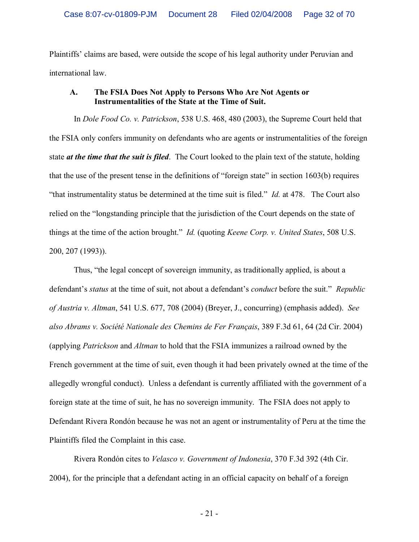Plaintiffs' claims are based, were outside the scope of his legal authority under Peruvian and international law.

#### **A. The FSIA Does Not Apply to Persons Who Are Not Agents or Instrumentalities of the State at the Time of Suit.**

In *Dole Food Co. v. Patrickson*, 538 U.S. 468, 480 (2003), the Supreme Court held that the FSIA only confers immunity on defendants who are agents or instrumentalities of the foreign state *at the time that the suit is filed*. The Court looked to the plain text of the statute, holding that the use of the present tense in the definitions of "foreign state" in section 1603(b) requires "that instrumentality status be determined at the time suit is filed." *Id.* at 478. The Court also relied on the "longstanding principle that the jurisdiction of the Court depends on the state of things at the time of the action brought." *Id.* (quoting *Keene Corp. v. United States*, 508 U.S. 200, 207 (1993)).

Thus, "the legal concept of sovereign immunity, as traditionally applied, is about a defendant's *status* at the time of suit, not about a defendant's *conduct* before the suit." *Republic of Austria v. Altman*, 541 U.S. 677, 708 (2004) (Breyer, J., concurring) (emphasis added). *See also Abrams v. Société Nationale des Chemins de Fer Français*, 389 F.3d 61, 64 (2d Cir. 2004) (applying *Patrickson* and *Altman* to hold that the FSIA immunizes a railroad owned by the French government at the time of suit, even though it had been privately owned at the time of the allegedly wrongful conduct). Unless a defendant is currently affiliated with the government of a foreign state at the time of suit, he has no sovereign immunity. The FSIA does not apply to Defendant Rivera Rondón because he was not an agent or instrumentality of Peru at the time the Plaintiffs filed the Complaint in this case.

Rivera Rondón cites to *Velasco v. Government of Indonesia*, 370 F.3d 392 (4th Cir. 2004), for the principle that a defendant acting in an official capacity on behalf of a foreign

- 21 -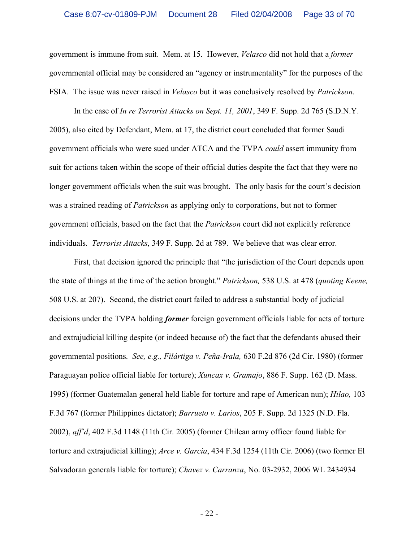government is immune from suit. Mem. at 15. However, *Velasco* did not hold that a *former*  governmental official may be considered an "agency or instrumentality" for the purposes of the FSIA. The issue was never raised in *Velasco* but it was conclusively resolved by *Patrickson*.

In the case of *In re Terrorist Attacks on Sept. 11, 2001*, 349 F. Supp. 2d 765 (S.D.N.Y. 2005), also cited by Defendant, Mem. at 17, the district court concluded that former Saudi government officials who were sued under ATCA and the TVPA *could* assert immunity from suit for actions taken within the scope of their official duties despite the fact that they were no longer government officials when the suit was brought. The only basis for the court's decision was a strained reading of *Patrickson* as applying only to corporations, but not to former government officials, based on the fact that the *Patrickson* court did not explicitly reference individuals. *Terrorist Attacks*, 349 F. Supp. 2d at 789. We believe that was clear error.

First, that decision ignored the principle that "the jurisdiction of the Court depends upon the state of things at the time of the action brought." *Patrickson,* 538 U.S. at 478 (*quoting Keene,*  508 U.S. at 207). Second, the district court failed to address a substantial body of judicial decisions under the TVPA holding *former* foreign government officials liable for acts of torture and extrajudicial killing despite (or indeed because of) the fact that the defendants abused their governmental positions. *See, e.g., Filártiga v. Peña-Irala,* 630 F.2d 876 (2d Cir. 1980) (former Paraguayan police official liable for torture); *Xuncax v. Gramajo*, 886 F. Supp. 162 (D. Mass. 1995) (former Guatemalan general held liable for torture and rape of American nun); *Hilao,* 103 F.3d 767 (former Philippines dictator); *Barrueto v. Larios*, 205 F. Supp. 2d 1325 (N.D. Fla. 2002), *aff'd*, 402 F.3d 1148 (11th Cir. 2005) (former Chilean army officer found liable for torture and extrajudicial killing); *Arce v. Garcia*, 434 F.3d 1254 (11th Cir. 2006) (two former El Salvadoran generals liable for torture); *Chavez v. Carranza*, No. 03-2932, 2006 WL 2434934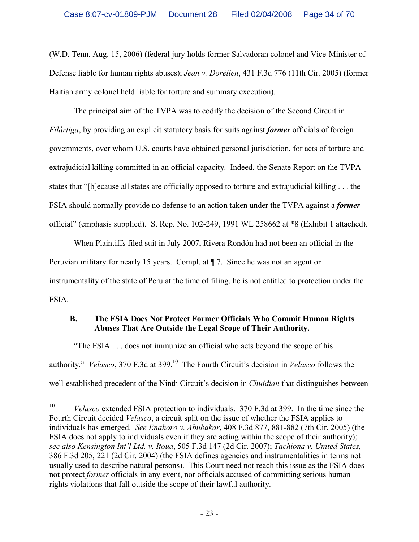(W.D. Tenn. Aug. 15, 2006) (federal jury holds former Salvadoran colonel and Vice-Minister of Defense liable for human rights abuses); *Jean v. Dorélien*, 431 F.3d 776 (11th Cir. 2005) (former Haitian army colonel held liable for torture and summary execution).

The principal aim of the TVPA was to codify the decision of the Second Circuit in *Filártiga*, by providing an explicit statutory basis for suits against *former* officials of foreign governments, over whom U.S. courts have obtained personal jurisdiction, for acts of torture and extrajudicial killing committed in an official capacity. Indeed, the Senate Report on the TVPA states that "[b]ecause all states are officially opposed to torture and extrajudicial killing . . . the FSIA should normally provide no defense to an action taken under the TVPA against a *former* official" (emphasis supplied). S. Rep. No. 102-249, 1991 WL 258662 at \*8 (Exhibit 1 attached).

When Plaintiffs filed suit in July 2007, Rivera Rondón had not been an official in the Peruvian military for nearly 15 years. Compl. at ¶ 7. Since he was not an agent or instrumentality of the state of Peru at the time of filing, he is not entitled to protection under the FSIA.

## **B. The FSIA Does Not Protect Former Officials Who Commit Human Rights Abuses That Are Outside the Legal Scope of Their Authority.**

"The FSIA . . . does not immunize an official who acts beyond the scope of his authority." *Velasco*, 370 F.3d at 399.<sup>10</sup> The Fourth Circuit's decision in *Velasco* follows the well-established precedent of the Ninth Circuit's decision in *Chuidian* that distinguishes between

<sup>&</sup>lt;sup>10</sup> *Velasco* extended FSIA protection to individuals. 370 F.3d at 399. In the time since the Fourth Circuit decided *Velasco*, a circuit split on the issue of whether the FSIA applies to individuals has emerged. *See Enahoro v. Abubakar*, 408 F.3d 877, 881-882 (7th Cir. 2005) (the FSIA does not apply to individuals even if they are acting within the scope of their authority); *see also Kensington Int'l Ltd. v. Itoua*, 505 F.3d 147 (2d Cir. 2007); *Tachiona v. United States*, 386 F.3d 205, 221 (2d Cir. 2004) (the FSIA defines agencies and instrumentalities in terms not usually used to describe natural persons). This Court need not reach this issue as the FSIA does not protect *former* officials in any event, nor officials accused of committing serious human rights violations that fall outside the scope of their lawful authority.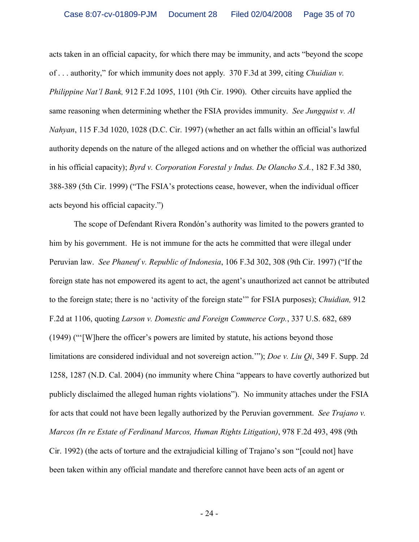acts taken in an official capacity, for which there may be immunity, and acts "beyond the scope of . . . authority," for which immunity does not apply. 370 F.3d at 399, citing *Chuidian v. Philippine Nat'l Bank,* 912 F.2d 1095, 1101 (9th Cir. 1990). Other circuits have applied the same reasoning when determining whether the FSIA provides immunity. *See Jungquist v. Al Nahyan*, 115 F.3d 1020, 1028 (D.C. Cir. 1997) (whether an act falls within an official's lawful authority depends on the nature of the alleged actions and on whether the official was authorized in his official capacity); *Byrd v. Corporation Forestal y Indus. De Olancho S.A.*, 182 F.3d 380, 388-389 (5th Cir. 1999) ("The FSIA's protections cease, however, when the individual officer acts beyond his official capacity.")

The scope of Defendant Rivera Rondón's authority was limited to the powers granted to him by his government. He is not immune for the acts he committed that were illegal under Peruvian law. *See Phaneuf v. Republic of Indonesia*, 106 F.3d 302, 308 (9th Cir. 1997) ("If the foreign state has not empowered its agent to act, the agent's unauthorized act cannot be attributed to the foreign state; there is no 'activity of the foreign state'" for FSIA purposes); *Chuidian,* 912 F.2d at 1106, quoting *Larson v. Domestic and Foreign Commerce Corp.*, 337 U.S. 682, 689 (1949) ("'[W]here the officer's powers are limited by statute, his actions beyond those limitations are considered individual and not sovereign action.'"); *Doe v. Liu Qi*, 349 F. Supp. 2d 1258, 1287 (N.D. Cal. 2004) (no immunity where China "appears to have covertly authorized but publicly disclaimed the alleged human rights violations"). No immunity attaches under the FSIA for acts that could not have been legally authorized by the Peruvian government. *See Trajano v. Marcos (In re Estate of Ferdinand Marcos, Human Rights Litigation)*, 978 F.2d 493, 498 (9th Cir. 1992) (the acts of torture and the extrajudicial killing of Trajano's son "[could not] have been taken within any official mandate and therefore cannot have been acts of an agent or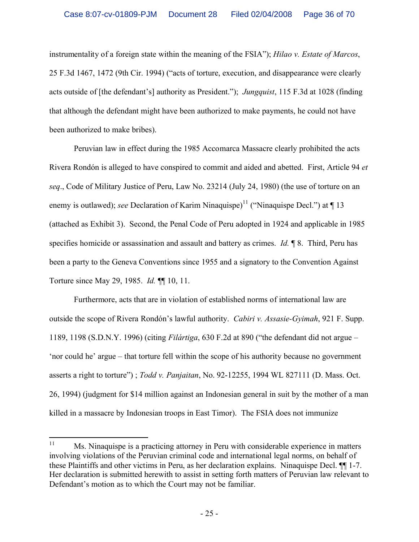instrumentality of a foreign state within the meaning of the FSIA"); *Hilao v. Estate of Marcos*, 25 F.3d 1467, 1472 (9th Cir. 1994) ("acts of torture, execution, and disappearance were clearly acts outside of [the defendant's] authority as President."); *Jungquist*, 115 F.3d at 1028 (finding that although the defendant might have been authorized to make payments, he could not have been authorized to make bribes).

Peruvian law in effect during the 1985 Accomarca Massacre clearly prohibited the acts Rivera Rondón is alleged to have conspired to commit and aided and abetted. First, Article 94 *et seq*., Code of Military Justice of Peru, Law No. 23214 (July 24, 1980) (the use of torture on an enemy is outlawed); *see* Declaration of Karim Ninaquispe)<sup>11</sup> ("Ninaquispe Decl.") at ¶ 13 (attached as Exhibit 3). Second, the Penal Code of Peru adopted in 1924 and applicable in 1985 specifies homicide or assassination and assault and battery as crimes. *Id.* ¶ 8. Third, Peru has been a party to the Geneva Conventions since 1955 and a signatory to the Convention Against Torture since May 29, 1985. *Id.* ¶¶ 10, 11.

Furthermore, acts that are in violation of established norms of international law are outside the scope of Rivera Rondón's lawful authority. *Cabiri v. Assasie-Gyimah*, 921 F. Supp. 1189, 1198 (S.D.N.Y. 1996) (citing *Filártiga*, 630 F.2d at 890 ("the defendant did not argue – 'nor could he' argue – that torture fell within the scope of his authority because no government asserts a right to torture") ; *Todd v. Panjaitan*, No. 92-12255, 1994 WL 827111 (D. Mass. Oct. 26, 1994) (judgment for \$14 million against an Indonesian general in suit by the mother of a man killed in a massacre by Indonesian troops in East Timor). The FSIA does not immunize

<sup>&</sup>lt;sup>11</sup> Ms. Ninaquispe is a practicing attorney in Peru with considerable experience in matters involving violations of the Peruvian criminal code and international legal norms, on behalf of these Plaintiffs and other victims in Peru, as her declaration explains. Ninaquispe Decl. ¶¶ 1-7. Her declaration is submitted herewith to assist in setting forth matters of Peruvian law relevant to Defendant's motion as to which the Court may not be familiar.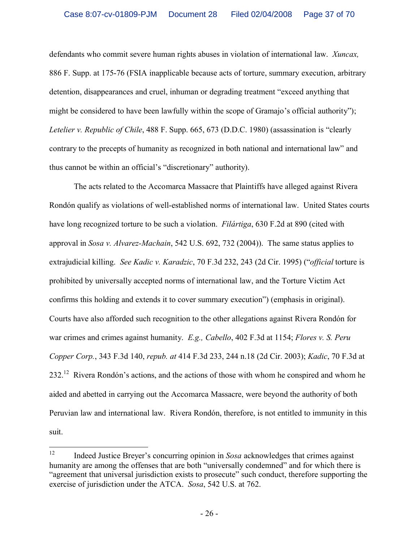defendants who commit severe human rights abuses in violation of international law. *Xuncax,*  886 F. Supp. at 175-76 (FSIA inapplicable because acts of torture, summary execution, arbitrary detention, disappearances and cruel, inhuman or degrading treatment "exceed anything that might be considered to have been lawfully within the scope of Gramajo's official authority"); *Letelier v. Republic of Chile*, 488 F. Supp. 665, 673 (D.D.C. 1980) (assassination is "clearly contrary to the precepts of humanity as recognized in both national and international law" and thus cannot be within an official's "discretionary" authority).

The acts related to the Accomarca Massacre that Plaintiffs have alleged against Rivera Rondón qualify as violations of well-established norms of international law. United States courts have long recognized torture to be such a violation. *Filártiga*, 630 F.2d at 890 (cited with approval in *Sosa v. Alvarez-Machain*, 542 U.S. 692, 732 (2004)). The same status applies to extrajudicial killing. *See Kadic v. Karadzic*, 70 F.3d 232, 243 (2d Cir. 1995) ("*official* torture is prohibited by universally accepted norms of international law, and the Torture Victim Act confirms this holding and extends it to cover summary execution") (emphasis in original). Courts have also afforded such recognition to the other allegations against Rivera Rondón for war crimes and crimes against humanity. *E.g., Cabello*, 402 F.3d at 1154; *Flores v. S. Peru Copper Corp.*, 343 F.3d 140, *repub. at* 414 F.3d 233, 244 n.18 (2d Cir. 2003); *Kadic*, 70 F.3d at 232.<sup>12</sup> Rivera Rondón's actions, and the actions of those with whom he conspired and whom he aided and abetted in carrying out the Accomarca Massacre, were beyond the authority of both Peruvian law and international law. Rivera Rondón, therefore, is not entitled to immunity in this suit.

<sup>&</sup>lt;sup>12</sup> Indeed Justice Breyer's concurring opinion in *Sosa* acknowledges that crimes against humanity are among the offenses that are both "universally condemned" and for which there is "agreement that universal jurisdiction exists to prosecute" such conduct, therefore supporting the exercise of jurisdiction under the ATCA. *Sosa*, 542 U.S. at 762.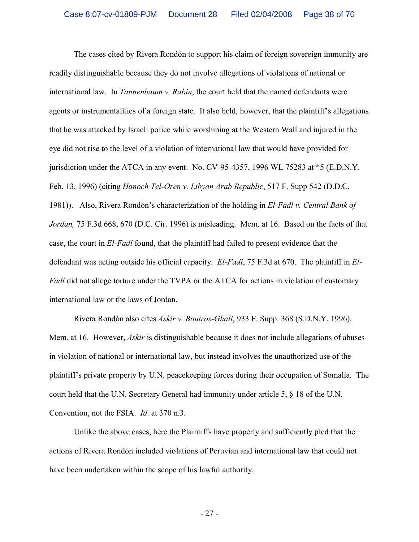The cases cited by Rivera Rondón to support his claim of foreign sovereign immunity are readily distinguishable because they do not involve allegations of violations of national or international law. In *Tannenbaum v. Rabin*, the court held that the named defendants were agents or instrumentalities of a foreign state. It also held, however, that the plaintiff's allegations that he was attacked by Israeli police while worshiping at the Western Wall and injured in the eye did not rise to the level of a violation of international law that would have provided for jurisdiction under the ATCA in any event. No. CV-95-4357, 1996 WL 75283 at \*5 (E.D.N.Y. Feb. 13, 1996) (citing *Hanoch Tel-Oren v. Libyan Arab Republic*, 517 F. Supp 542 (D.D.C. 1981)). Also, Rivera Rondón's characterization of the holding in *El-Fadl v. Central Bank of Jordan,* 75 F.3d 668, 670 (D.C. Cir. 1996) is misleading. Mem. at 16. Based on the facts of that case, the court in *El-Fadl* found, that the plaintiff had failed to present evidence that the defendant was acting outside his official capacity. *El-Fadl*, 75 F.3d at 670. The plaintiff in *El-Fadl* did not allege torture under the TVPA or the ATCA for actions in violation of customary international law or the laws of Jordan.

Rivera Rondón also cites *Askir v. Boutros-Ghali*, 933 F. Supp. 368 (S.D.N.Y. 1996). Mem. at 16. However, *Askir* is distinguishable because it does not include allegations of abuses in violation of national or international law, but instead involves the unauthorized use of the plaintiff's private property by U.N. peacekeeping forces during their occupation of Somalia. The court held that the U.N. Secretary General had immunity under article 5, § 18 of the U.N. Convention, not the FSIA. *Id*. at 370 n.3.

Unlike the above cases, here the Plaintiffs have properly and sufficiently pled that the actions of Rivera Rondón included violations of Peruvian and international law that could not have been undertaken within the scope of his lawful authority.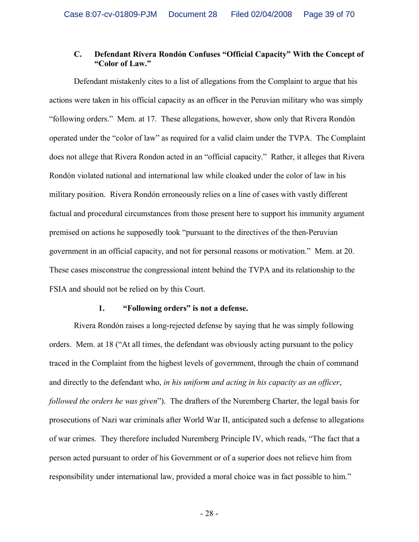## **C. Defendant Rivera Rondón Confuses "Official Capacity" With the Concept of "Color of Law."**

Defendant mistakenly cites to a list of allegations from the Complaint to argue that his actions were taken in his official capacity as an officer in the Peruvian military who was simply "following orders." Mem. at 17. These allegations, however, show only that Rivera Rondón operated under the "color of law" as required for a valid claim under the TVPA. The Complaint does not allege that Rivera Rondon acted in an "official capacity." Rather, it alleges that Rivera Rondón violated national and international law while cloaked under the color of law in his military position. Rivera Rondón erroneously relies on a line of cases with vastly different factual and procedural circumstances from those present here to support his immunity argument premised on actions he supposedly took "pursuant to the directives of the then-Peruvian government in an official capacity, and not for personal reasons or motivation." Mem. at 20. These cases misconstrue the congressional intent behind the TVPA and its relationship to the FSIA and should not be relied on by this Court.

#### **1. "Following orders" is not a defense.**

Rivera Rondón raises a long-rejected defense by saying that he was simply following orders. Mem. at 18 ("At all times, the defendant was obviously acting pursuant to the policy traced in the Complaint from the highest levels of government, through the chain of command and directly to the defendant who, *in his uniform and acting in his capacity as an officer*, *followed the orders he was given*"). The drafters of the Nuremberg Charter, the legal basis for prosecutions of Nazi war criminals after World War II, anticipated such a defense to allegations of war crimes. They therefore included Nuremberg Principle IV, which reads, "The fact that a person acted pursuant to order of his Government or of a superior does not relieve him from responsibility under international law, provided a moral choice was in fact possible to him."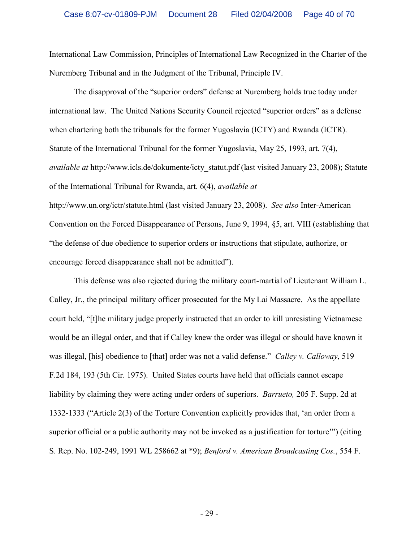International Law Commission, Principles of International Law Recognized in the Charter of the Nuremberg Tribunal and in the Judgment of the Tribunal, Principle IV.

The disapproval of the "superior orders" defense at Nuremberg holds true today under international law. The United Nations Security Council rejected "superior orders" as a defense when chartering both the tribunals for the former Yugoslavia (ICTY) and Rwanda (ICTR). Statute of the International Tribunal for the former Yugoslavia, May 25, 1993, art. 7(4), *available at* http://www.icls.de/dokumente/icty\_statut.pdf (last visited January 23, 2008); Statute of the International Tribunal for Rwanda, art. 6(4), *available at* http://www.un.org/ictr/statute.html (last visited January 23, 2008). *See also* Inter-American Convention on the Forced Disappearance of Persons, June 9, 1994, §5, art. VIII (establishing that "the defense of due obedience to superior orders or instructions that stipulate, authorize, or encourage forced disappearance shall not be admitted").

This defense was also rejected during the military court-martial of Lieutenant William L. Calley, Jr., the principal military officer prosecuted for the My Lai Massacre. As the appellate court held, "[t]he military judge properly instructed that an order to kill unresisting Vietnamese would be an illegal order, and that if Calley knew the order was illegal or should have known it was illegal, [his] obedience to [that] order was not a valid defense." *Calley v. Calloway*, 519 F.2d 184, 193 (5th Cir. 1975). United States courts have held that officials cannot escape liability by claiming they were acting under orders of superiors. *Barrueto,* 205 F. Supp. 2d at 1332-1333 ("Article 2(3) of the Torture Convention explicitly provides that, 'an order from a superior official or a public authority may not be invoked as a justification for torture'") (citing S. Rep. No. 102-249, 1991 WL 258662 at \*9); *Benford v. American Broadcasting Cos.*, 554 F.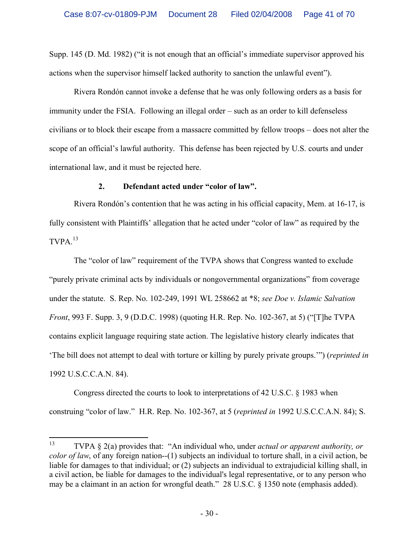Supp. 145 (D. Md. 1982) ("it is not enough that an official's immediate supervisor approved his actions when the supervisor himself lacked authority to sanction the unlawful event").

Rivera Rondón cannot invoke a defense that he was only following orders as a basis for immunity under the FSIA. Following an illegal order – such as an order to kill defenseless civilians or to block their escape from a massacre committed by fellow troops – does not alter the scope of an official's lawful authority. This defense has been rejected by U.S. courts and under international law, and it must be rejected here.

## **2. Defendant acted under "color of law".**

Rivera Rondón's contention that he was acting in his official capacity, Mem. at 16-17, is fully consistent with Plaintiffs' allegation that he acted under "color of law" as required by the  $TVPA.<sup>13</sup>$ 

The "color of law" requirement of the TVPA shows that Congress wanted to exclude "purely private criminal acts by individuals or nongovernmental organizations" from coverage under the statute. S. Rep. No. 102-249, 1991 WL 258662 at \*8; *see Doe v. Islamic Salvation Front*, 993 F. Supp. 3, 9 (D.D.C. 1998) (quoting H.R. Rep. No. 102-367, at 5) ("[T]he TVPA contains explicit language requiring state action. The legislative history clearly indicates that 'The bill does not attempt to deal with torture or killing by purely private groups.'") (*reprinted in* 1992 U.S.C.C.A.N. 84).

Congress directed the courts to look to interpretations of 42 U.S.C. § 1983 when construing "color of law." H.R. Rep. No. 102-367, at 5 (*reprinted in* 1992 U.S.C.C.A.N. 84); S.

<sup>13</sup> TVPA § 2(a) provides that: "An individual who, under *actual or apparent authority, or color of law*, of any foreign nation--(1) subjects an individual to torture shall, in a civil action, be liable for damages to that individual; or (2) subjects an individual to extrajudicial killing shall, in a civil action, be liable for damages to the individual's legal representative, or to any person who may be a claimant in an action for wrongful death." 28 U.S.C. § 1350 note (emphasis added).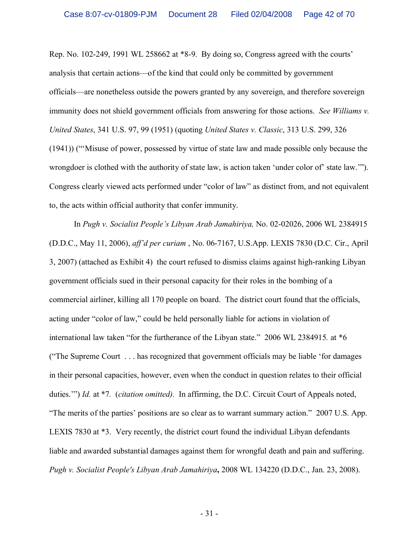Rep. No. 102-249, 1991 WL 258662 at \*8-9. By doing so, Congress agreed with the courts' analysis that certain actions—of the kind that could only be committed by government officials—are nonetheless outside the powers granted by any sovereign, and therefore sovereign immunity does not shield government officials from answering for those actions. *See Williams v. United States*, 341 U.S. 97, 99 (1951) (quoting *United States v. Classic*, 313 U.S. 299, 326 (1941)) ("'Misuse of power, possessed by virtue of state law and made possible only because the wrongdoer is clothed with the authority of state law, is action taken 'under color of' state law.'"). Congress clearly viewed acts performed under "color of law" as distinct from, and not equivalent to, the acts within official authority that confer immunity.

In *Pugh v. Socialist People's Libyan Arab Jamahiriya,* No. 02-02026, 2006 WL 2384915 (D.D.C., May 11, 2006), *aff'd per curiam* , No. 06-7167, U.S.App. LEXIS 7830 (D.C. Cir., April 3, 2007) (attached as Exhibit 4) the court refused to dismiss claims against high-ranking Libyan government officials sued in their personal capacity for their roles in the bombing of a commercial airliner, killing all 170 people on board. The district court found that the officials, acting under "color of law," could be held personally liable for actions in violation of international law taken "for the furtherance of the Libyan state." 2006 WL 2384915*.* at \*6 ("The Supreme Court . . . has recognized that government officials may be liable 'for damages in their personal capacities, however, even when the conduct in question relates to their official duties.'") *Id.* at \*7*.* (*citation omitted).* In affirming, the D.C. Circuit Court of Appeals noted, "The merits of the parties' positions are so clear as to warrant summary action." 2007 U.S. App. LEXIS 7830 at \*3. Very recently, the district court found the individual Libyan defendants liable and awarded substantial damages against them for wrongful death and pain and suffering. *Pugh v. Socialist People's Libyan Arab Jamahiriya***,** 2008 WL 134220 (D.D.C., Jan. 23, 2008).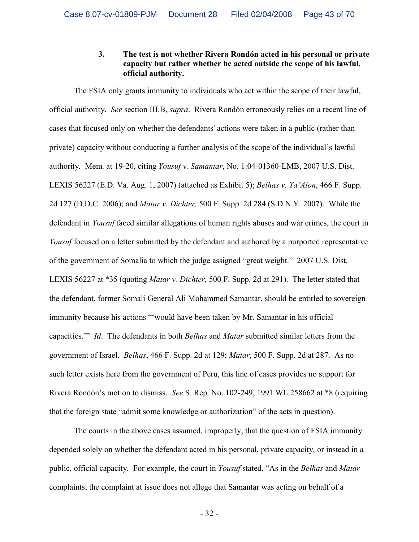#### **3. The test is not whether Rivera Rondón acted in his personal or private capacity but rather whether he acted outside the scope of his lawful, official authority.**

The FSIA only grants immunity to individuals who act within the scope of their lawful, official authority. *See* section III.B, *supra*. Rivera Rondón erroneously relies on a recent line of cases that focused only on whether the defendants' actions were taken in a public (rather than private) capacity without conducting a further analysis of the scope of the individual's lawful authority. Mem. at 19-20, citing *Yousuf v. Samantar*, No. 1:04-01360-LMB, 2007 U.S. Dist. LEXIS 56227 (E.D. Va. Aug. 1, 2007) (attached as Exhibit 5); *Belhas v. Ya'Alon*, 466 F. Supp. 2d 127 (D.D.C. 2006); and *Matar v. Dichter,* 500 F. Supp. 2d 284 (S.D.N.Y. 2007). While the defendant in *Yousuf* faced similar allegations of human rights abuses and war crimes, the court in *Yousuf* focused on a letter submitted by the defendant and authored by a purported representative of the government of Somalia to which the judge assigned "great weight." 2007 U.S. Dist. LEXIS 56227 at \*35 (quoting *Matar v. Dichter,* 500 F. Supp. 2d at 291). The letter stated that the defendant, former Somali General Ali Mohammed Samantar, should be entitled to sovereign immunity because his actions "'would have been taken by Mr. Samantar in his official capacities.'" *Id*. The defendants in both *Belhas* and *Matar* submitted similar letters from the government of Israel. *Belhas*, 466 F. Supp. 2d at 129; *Matar*, 500 F. Supp. 2d at 287. As no such letter exists here from the government of Peru, this line of cases provides no support for Rivera Rondón's motion to dismiss. *See* S. Rep. No. 102-249, 1991 WL 258662 at \*8 (requiring that the foreign state "admit some knowledge or authorization" of the acts in question).

The courts in the above cases assumed, improperly, that the question of FSIA immunity depended solely on whether the defendant acted in his personal, private capacity, or instead in a public, official capacity. For example, the court in *Yousuf* stated, "As in the *Belhas* and *Matar* complaints, the complaint at issue does not allege that Samantar was acting on behalf of a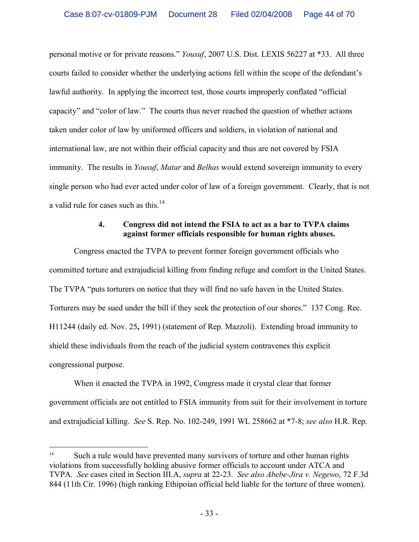personal motive or for private reasons." *Yousuf*, 2007 U.S. Dist. LEXIS 56227 at \*33. All three courts failed to consider whether the underlying actions fell within the scope of the defendant's lawful authority. In applying the incorrect test, those courts improperly conflated "official capacity" and "color of law." The courts thus never reached the question of whether actions taken under color of law by uniformed officers and soldiers, in violation of national and international law, are not within their official capacity and thus are not covered by FSIA immunity. The results in *Yousuf*, *Matar* and *Belhas* would extend sovereign immunity to every single person who had ever acted under color of law of a foreign government. Clearly, that is not a valid rule for cases such as this.<sup>14</sup>

#### **4. Congress did not intend the FSIA to act as a bar to TVPA claims against former officials responsible for human rights abuses.**

Congress enacted the TVPA to prevent former foreign government officials who committed torture and extrajudicial killing from finding refuge and comfort in the United States. The TVPA "puts torturers on notice that they will find no safe haven in the United States. Torturers may be sued under the bill if they seek the protection of our shores." 137 Cong. Rec. H11244 (daily ed. Nov. 25**,** 1991) (statement of Rep. Mazzoli). Extending broad immunity to shield these individuals from the reach of the judicial system contravenes this explicit congressional purpose.

When it enacted the TVPA in 1992, Congress made it crystal clear that former government officials are not entitled to FSIA immunity from suit for their involvement in torture and extrajudicial killing. *See* S. Rep. No. 102-249, 1991 WL 258662 at \*7-8; *see also* H.R. Rep.

<sup>&</sup>lt;sup>14</sup> Such a rule would have prevented many survivors of torture and other human rights violations from successfully holding abusive former officials to account under ATCA and TVPA. *See* cases cited in Section III.A, *supra* at 22-23. *See also Abebe-Jira v. Negewo*, 72 F.3d 844 (11th Cir. 1996) (high ranking Ethipoian official held liable for the torture of three women).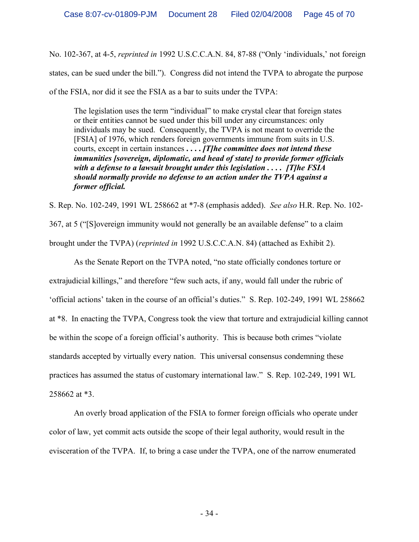No. 102-367, at 4-5, *reprinted in* 1992 U.S.C.C.A.N. 84, 87-88 ("Only 'individuals,' not foreign states, can be sued under the bill."). Congress did not intend the TVPA to abrogate the purpose of the FSIA, nor did it see the FSIA as a bar to suits under the TVPA:

The legislation uses the term "individual" to make crystal clear that foreign states or their entities cannot be sued under this bill under any circumstances: only individuals may be sued. Consequently, the TVPA is not meant to override the [FSIA] of 1976, which renders foreign governments immune from suits in U.S. courts, except in certain instances **. . . .** *[T]he committee does not intend these immunities [sovereign, diplomatic, and head of state] to provide former officials with a defense to a lawsuit brought under this legislation . . . . [T]he FSIA should normally provide no defense to an action under the TVPA against a former official.*

S. Rep. No. 102-249, 1991 WL 258662 at \*7-8 (emphasis added). *See also* H.R. Rep. No. 102- 367, at 5 ("[S]overeign immunity would not generally be an available defense" to a claim

brought under the TVPA) (*reprinted in* 1992 U.S.C.C.A.N. 84) (attached as Exhibit 2).

As the Senate Report on the TVPA noted, "no state officially condones torture or extrajudicial killings," and therefore "few such acts, if any, would fall under the rubric of 'official actions' taken in the course of an official's duties." S. Rep. 102-249, 1991 WL 258662 at \*8. In enacting the TVPA, Congress took the view that torture and extrajudicial killing cannot be within the scope of a foreign official's authority. This is because both crimes "violate standards accepted by virtually every nation. This universal consensus condemning these practices has assumed the status of customary international law." S. Rep. 102-249, 1991 WL 258662 at \*3.

An overly broad application of the FSIA to former foreign officials who operate under color of law, yet commit acts outside the scope of their legal authority, would result in the evisceration of the TVPA. If, to bring a case under the TVPA, one of the narrow enumerated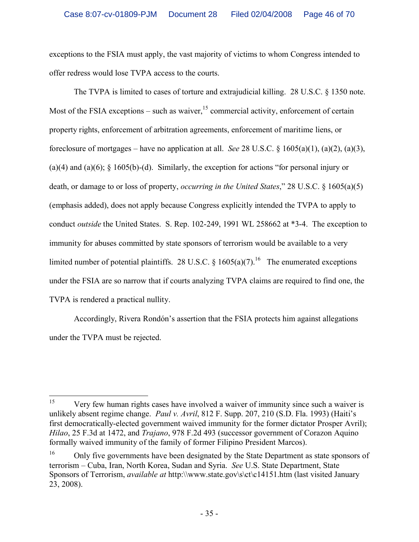exceptions to the FSIA must apply, the vast majority of victims to whom Congress intended to offer redress would lose TVPA access to the courts.

The TVPA is limited to cases of torture and extrajudicial killing. 28 U.S.C. § 1350 note. Most of the FSIA exceptions – such as waiver,  $15$  commercial activity, enforcement of certain property rights, enforcement of arbitration agreements, enforcement of maritime liens, or foreclosure of mortgages – have no application at all. *See* 28 U.S.C. § 1605(a)(1), (a)(2), (a)(3), (a)(4) and (a)(6);  $\S$  1605(b)-(d). Similarly, the exception for actions "for personal injury or death, or damage to or loss of property, *occurring in the United States*," 28 U.S.C. § 1605(a)(5) (emphasis added), does not apply because Congress explicitly intended the TVPA to apply to conduct *outside* the United States. S. Rep. 102-249, 1991 WL 258662 at \*3-4. The exception to immunity for abuses committed by state sponsors of terrorism would be available to a very limited number of potential plaintiffs. 28 U.S.C. § 1605(a)(7).<sup>16</sup> The enumerated exceptions under the FSIA are so narrow that if courts analyzing TVPA claims are required to find one, the TVPA is rendered a practical nullity.

Accordingly, Rivera Rondón's assertion that the FSIA protects him against allegations under the TVPA must be rejected.

<sup>&</sup>lt;sup>15</sup> Very few human rights cases have involved a waiver of immunity since such a waiver is unlikely absent regime change. *Paul v. Avril*, 812 F. Supp. 207, 210 (S.D. Fla. 1993) (Haiti's first democratically-elected government waived immunity for the former dictator Prosper Avril); *Hilao*, 25 F.3d at 1472, and *Trajano*, 978 F.2d 493 (successor government of Corazon Aquino formally waived immunity of the family of former Filipino President Marcos).

<sup>&</sup>lt;sup>16</sup> Only five governments have been designated by the State Department as state sponsors of terrorism – Cuba, Iran, North Korea, Sudan and Syria. *See* U.S. State Department, State Sponsors of Terrorism, *available at* http:\\www.state.gov\s\ct\c14151.htm (last visited January 23, 2008).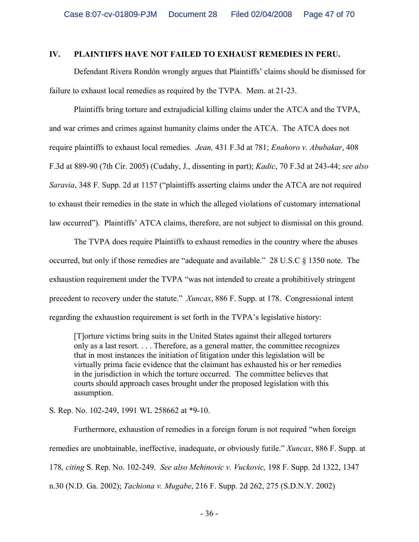#### **IV. PLAINTIFFS HAVE NOT FAILED TO EXHAUST REMEDIES IN PERU.**

Defendant Rivera Rondón wrongly argues that Plaintiffs' claims should be dismissed for failure to exhaust local remedies as required by the TVPA. Mem. at 21-23.

Plaintiffs bring torture and extrajudicial killing claims under the ATCA and the TVPA, and war crimes and crimes against humanity claims under the ATCA. The ATCA does not require plaintiffs to exhaust local remedies. *Jean,* 431 F.3d at 781; *Enahoro v. Abubakar*, 408 F.3d at 889-90 (7th Cir. 2005) (Cudahy, J., dissenting in part); *Kadic*, 70 F.3d at 243-44; *see also Saravia*, 348 F. Supp. 2d at 1157 ("plaintiffs asserting claims under the ATCA are not required to exhaust their remedies in the state in which the alleged violations of customary international law occurred"). Plaintiffs' ATCA claims, therefore, are not subject to dismissal on this ground.

The TVPA does require Plaintiffs to exhaust remedies in the country where the abuses occurred, but only if those remedies are "adequate and available." 28 U.S.C § 1350 note. The exhaustion requirement under the TVPA "was not intended to create a prohibitively stringent precedent to recovery under the statute." *Xuncax*, 886 F. Supp. at 178. Congressional intent regarding the exhaustion requirement is set forth in the TVPA's legislative history:

[T]orture victims bring suits in the United States against their alleged torturers only as a last resort. . . . Therefore, as a general matter, the committee recognizes that in most instances the initiation of litigation under this legislation will be virtually prima facie evidence that the claimant has exhausted his or her remedies in the jurisdiction in which the torture occurred. The committee believes that courts should approach cases brought under the proposed legislation with this assumption.

S. Rep. No. 102-249, 1991 WL 258662 at \*9-10.

Furthermore, exhaustion of remedies in a foreign forum is not required "when foreign remedies are unobtainable, ineffective, inadequate, or obviously futile." *Xuncax*, 886 F. Supp. at 178*, citing* S. Rep. No. 102-249. *See also Mehinovic v. Vuckovic,* 198 F. Supp. 2d 1322, 1347 n.30 (N.D. Ga. 2002); *Tachiona v. Mugabe*, 216 F. Supp. 2d 262, 275 (S.D.N.Y. 2002)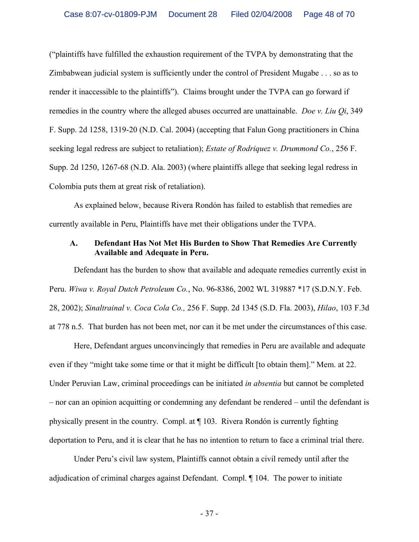("plaintiffs have fulfilled the exhaustion requirement of the TVPA by demonstrating that the Zimbabwean judicial system is sufficiently under the control of President Mugabe . . . so as to render it inaccessible to the plaintiffs"). Claims brought under the TVPA can go forward if remedies in the country where the alleged abuses occurred are unattainable. *Doe v. Liu Qi*, 349 F. Supp. 2d 1258, 1319-20 (N.D. Cal. 2004) (accepting that Falun Gong practitioners in China seeking legal redress are subject to retaliation); *Estate of Rodriquez v. Drummond Co.*, 256 F. Supp. 2d 1250, 1267-68 (N.D. Ala. 2003) (where plaintiffs allege that seeking legal redress in Colombia puts them at great risk of retaliation).

As explained below, because Rivera Rondón has failed to establish that remedies are currently available in Peru, Plaintiffs have met their obligations under the TVPA.

#### **A. Defendant Has Not Met His Burden to Show That Remedies Are Currently Available and Adequate in Peru.**

Defendant has the burden to show that available and adequate remedies currently exist in Peru. *Wiwa v. Royal Dutch Petroleum Co.*, No. 96-8386, 2002 WL 319887 \*17 (S.D.N.Y. Feb. 28, 2002); *Sinaltrainal v. Coca Cola Co.,* 256 F. Supp. 2d 1345 (S.D. Fla. 2003), *Hilao*, 103 F.3d at 778 n.5. That burden has not been met, nor can it be met under the circumstances of this case.

Here, Defendant argues unconvincingly that remedies in Peru are available and adequate even if they "might take some time or that it might be difficult [to obtain them]." Mem. at 22. Under Peruvian Law, criminal proceedings can be initiated *in absentia* but cannot be completed – nor can an opinion acquitting or condemning any defendant be rendered – until the defendant is physically present in the country. Compl. at ¶ 103. Rivera Rondón is currently fighting deportation to Peru, and it is clear that he has no intention to return to face a criminal trial there.

Under Peru's civil law system, Plaintiffs cannot obtain a civil remedy until after the adjudication of criminal charges against Defendant. Compl. ¶ 104. The power to initiate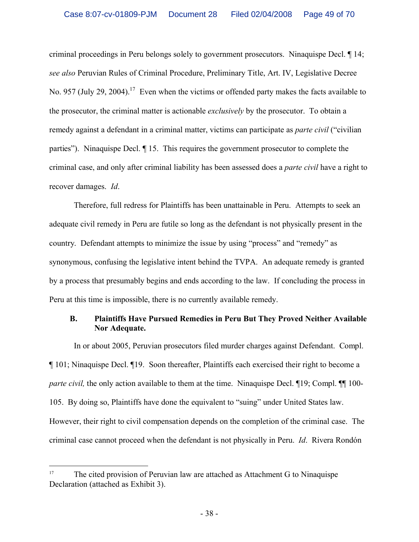criminal proceedings in Peru belongs solely to government prosecutors. Ninaquispe Decl. ¶ 14; *see also* Peruvian Rules of Criminal Procedure, Preliminary Title, Art. IV, Legislative Decree No. 957 (July 29, 2004).<sup>17</sup> Even when the victims or offended party makes the facts available to the prosecutor, the criminal matter is actionable *exclusively* by the prosecutor. To obtain a remedy against a defendant in a criminal matter, victims can participate as *parte civil* ("civilian parties"). Ninaquispe Decl. ¶ 15. This requires the government prosecutor to complete the criminal case, and only after criminal liability has been assessed does a *parte civil* have a right to recover damages. *Id*.

Therefore, full redress for Plaintiffs has been unattainable in Peru. Attempts to seek an adequate civil remedy in Peru are futile so long as the defendant is not physically present in the country. Defendant attempts to minimize the issue by using "process" and "remedy" as synonymous, confusing the legislative intent behind the TVPA. An adequate remedy is granted by a process that presumably begins and ends according to the law. If concluding the process in Peru at this time is impossible, there is no currently available remedy.

## **B. Plaintiffs Have Pursued Remedies in Peru But They Proved Neither Available Nor Adequate.**

In or about 2005, Peruvian prosecutors filed murder charges against Defendant. Compl. ¶ 101; Ninaquispe Decl. ¶19. Soon thereafter, Plaintiffs each exercised their right to become a *parte civil*, the only action available to them at the time. Ninaquispe Decl. 19; Compl. 11 100-105. By doing so, Plaintiffs have done the equivalent to "suing" under United States law. However, their right to civil compensation depends on the completion of the criminal case. The criminal case cannot proceed when the defendant is not physically in Peru. *Id*. Rivera Rondón

<sup>&</sup>lt;sup>17</sup> The cited provision of Peruvian law are attached as Attachment G to Ninaquispe Declaration (attached as Exhibit 3).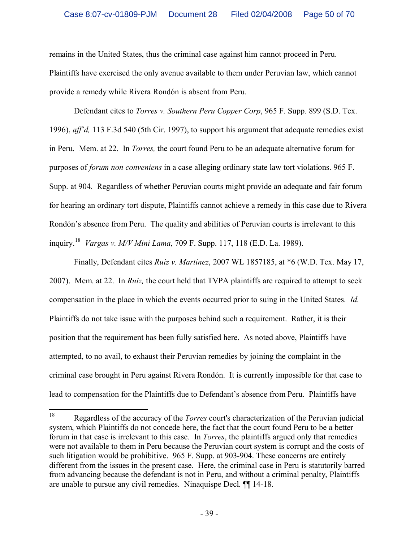remains in the United States, thus the criminal case against him cannot proceed in Peru. Plaintiffs have exercised the only avenue available to them under Peruvian law, which cannot provide a remedy while Rivera Rondón is absent from Peru.

Defendant cites to *Torres v. Southern Peru Copper Corp*, 965 F. Supp. 899 (S.D. Tex. 1996), *aff'd,* 113 F.3d 540 (5th Cir. 1997), to support his argument that adequate remedies exist in Peru. Mem. at 22. In *Torres,* the court found Peru to be an adequate alternative forum for purposes of *forum non conveniens* in a case alleging ordinary state law tort violations. 965 F. Supp. at 904. Regardless of whether Peruvian courts might provide an adequate and fair forum for hearing an ordinary tort dispute, Plaintiffs cannot achieve a remedy in this case due to Rivera Rondón's absence from Peru. The quality and abilities of Peruvian courts is irrelevant to this inquiry.<sup>18</sup> *Vargas v. M/V Mini Lama*, 709 F. Supp. 117, 118 (E.D. La. 1989).

Finally, Defendant cites *Ruiz v. Martinez*, 2007 WL 1857185, at \*6 (W.D. Tex. May 17, 2007). Mem. at 22. In *Ruiz,* the court held that TVPA plaintiffs are required to attempt to seek compensation in the place in which the events occurred prior to suing in the United States. *Id*. Plaintiffs do not take issue with the purposes behind such a requirement. Rather, it is their position that the requirement has been fully satisfied here. As noted above, Plaintiffs have attempted, to no avail, to exhaust their Peruvian remedies by joining the complaint in the criminal case brought in Peru against Rivera Rondón. It is currently impossible for that case to lead to compensation for the Plaintiffs due to Defendant's absence from Peru. Plaintiffs have

<sup>18</sup> Regardless of the accuracy of the *Torres* court's characterization of the Peruvian judicial system, which Plaintiffs do not concede here, the fact that the court found Peru to be a better forum in that case is irrelevant to this case. In *Torres*, the plaintiffs argued only that remedies were not available to them in Peru because the Peruvian court system is corrupt and the costs of such litigation would be prohibitive. 965 F. Supp. at 903-904. These concerns are entirely different from the issues in the present case. Here, the criminal case in Peru is statutorily barred from advancing because the defendant is not in Peru, and without a criminal penalty, Plaintiffs are unable to pursue any civil remedies. Ninaquispe Decl. ¶¶ 14-18.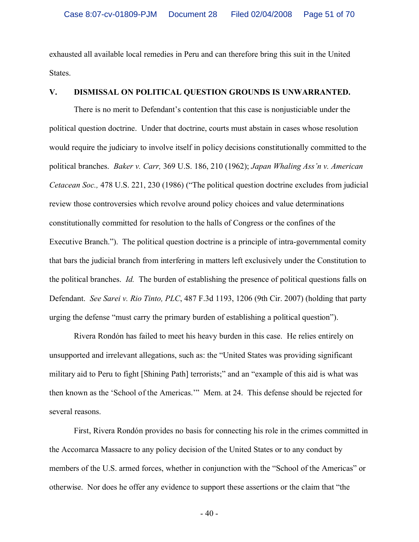exhausted all available local remedies in Peru and can therefore bring this suit in the United States.

## **V. DISMISSAL ON POLITICAL QUESTION GROUNDS IS UNWARRANTED.**

There is no merit to Defendant's contention that this case is nonjusticiable under the political question doctrine. Under that doctrine, courts must abstain in cases whose resolution would require the judiciary to involve itself in policy decisions constitutionally committed to the political branches. *Baker v. Carr,* 369 U.S. 186, 210 (1962); *Japan Whaling Ass'n v. American Cetacean Soc.,* 478 U.S. 221, 230 (1986) ("The political question doctrine excludes from judicial review those controversies which revolve around policy choices and value determinations constitutionally committed for resolution to the halls of Congress or the confines of the Executive Branch."). The political question doctrine is a principle of intra-governmental comity that bars the judicial branch from interfering in matters left exclusively under the Constitution to the political branches. *Id.* The burden of establishing the presence of political questions falls on Defendant. *See Sarei v. Rio Tinto, PLC*, 487 F.3d 1193, 1206 (9th Cir. 2007) (holding that party urging the defense "must carry the primary burden of establishing a political question").

Rivera Rondón has failed to meet his heavy burden in this case. He relies entirely on unsupported and irrelevant allegations, such as: the "United States was providing significant military aid to Peru to fight [Shining Path] terrorists;" and an "example of this aid is what was then known as the 'School of the Americas.'" Mem. at 24. This defense should be rejected for several reasons.

First, Rivera Rondón provides no basis for connecting his role in the crimes committed in the Accomarca Massacre to any policy decision of the United States or to any conduct by members of the U.S. armed forces, whether in conjunction with the "School of the Americas" or otherwise. Nor does he offer any evidence to support these assertions or the claim that "the

 $-40-$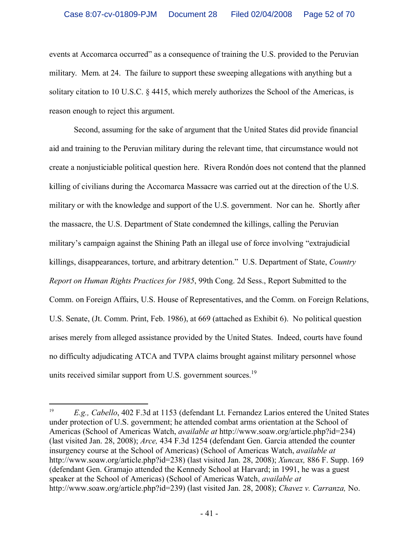events at Accomarca occurred" as a consequence of training the U.S. provided to the Peruvian military. Mem. at 24. The failure to support these sweeping allegations with anything but a solitary citation to 10 U.S.C. § 4415, which merely authorizes the School of the Americas, is reason enough to reject this argument.

Second, assuming for the sake of argument that the United States did provide financial aid and training to the Peruvian military during the relevant time, that circumstance would not create a nonjusticiable political question here. Rivera Rondón does not contend that the planned killing of civilians during the Accomarca Massacre was carried out at the direction of the U.S. military or with the knowledge and support of the U.S. government. Nor can he. Shortly after the massacre, the U.S. Department of State condemned the killings, calling the Peruvian military's campaign against the Shining Path an illegal use of force involving "extrajudicial killings, disappearances, torture, and arbitrary detention." U.S. Department of State, *Country Report on Human Rights Practices for 1985*, 99th Cong. 2d Sess., Report Submitted to the Comm. on Foreign Affairs, U.S. House of Representatives, and the Comm. on Foreign Relations, U.S. Senate, (Jt. Comm. Print, Feb. 1986), at 669 (attached as Exhibit 6). No political question arises merely from alleged assistance provided by the United States. Indeed, courts have found no difficulty adjudicating ATCA and TVPA claims brought against military personnel whose units received similar support from U.S. government sources.<sup>19</sup>

<sup>&</sup>lt;sup>19</sup> *E.g., Cabello*, 402 F.3d at 1153 (defendant Lt. Fernandez Larios entered the United States under protection of U.S. government; he attended combat arms orientation at the School of Americas (School of Americas Watch, *available at* http://www.soaw.org/article.php?id=234) (last visited Jan. 28, 2008); *Arce,* 434 F.3d 1254 (defendant Gen. Garcia attended the counter insurgency course at the School of Americas) (School of Americas Watch, *available at* http://www.soaw.org/article.php?id=238) (last visited Jan. 28, 2008); *Xuncax,* 886 F. Supp. 169 (defendant Gen. Gramajo attended the Kennedy School at Harvard; in 1991, he was a guest speaker at the School of Americas) (School of Americas Watch, *available at* http://www.soaw.org/article.php?id=239) (last visited Jan. 28, 2008); *Chavez v. Carranza,* No.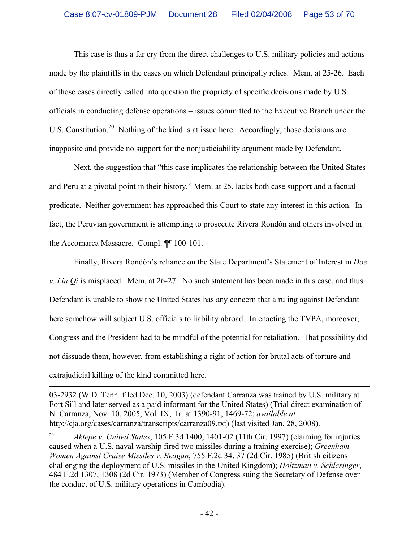This case is thus a far cry from the direct challenges to U.S. military policies and actions made by the plaintiffs in the cases on which Defendant principally relies. Mem. at 25-26. Each of those cases directly called into question the propriety of specific decisions made by U.S. officials in conducting defense operations – issues committed to the Executive Branch under the U.S. Constitution.<sup>20</sup> Nothing of the kind is at issue here. Accordingly, those decisions are inapposite and provide no support for the nonjusticiability argument made by Defendant.

Next, the suggestion that "this case implicates the relationship between the United States and Peru at a pivotal point in their history," Mem. at 25, lacks both case support and a factual predicate. Neither government has approached this Court to state any interest in this action. In fact, the Peruvian government is attempting to prosecute Rivera Rondón and others involved in the Accomarca Massacre. Compl. ¶¶ 100-101.

Finally, Rivera Rondón's reliance on the State Department's Statement of Interest in *Doe v. Liu Qi* is misplaced. Mem. at 26-27. No such statement has been made in this case, and thus Defendant is unable to show the United States has any concern that a ruling against Defendant here somehow will subject U.S. officials to liability abroad. In enacting the TVPA, moreover, Congress and the President had to be mindful of the potential for retaliation. That possibility did not dissuade them, however, from establishing a right of action for brutal acts of torture and extrajudicial killing of the kind committed here.

<sup>03-2932 (</sup>W.D. Tenn. filed Dec. 10, 2003) (defendant Carranza was trained by U.S. military at Fort Sill and later served as a paid informant for the United States) (Trial direct examination of N. Carranza, Nov. 10, 2005, Vol. IX; Tr. at 1390-91, 1469-72; *available at*  http://cja.org/cases/carranza/transcripts/carranza09.txt) (last visited Jan. 28, 2008).

<sup>20</sup> *Aktepe v. United States*, 105 F.3d 1400, 1401-02 (11th Cir. 1997) (claiming for injuries caused when a U.S. naval warship fired two missiles during a training exercise); *Greenham Women Against Cruise Missiles v. Reagan*, 755 F.2d 34, 37 (2d Cir. 1985) (British citizens challenging the deployment of U.S. missiles in the United Kingdom); *Holtzman v. Schlesinger*, 484 F.2d 1307, 1308 (2d Cir. 1973) (Member of Congress suing the Secretary of Defense over the conduct of U.S. military operations in Cambodia).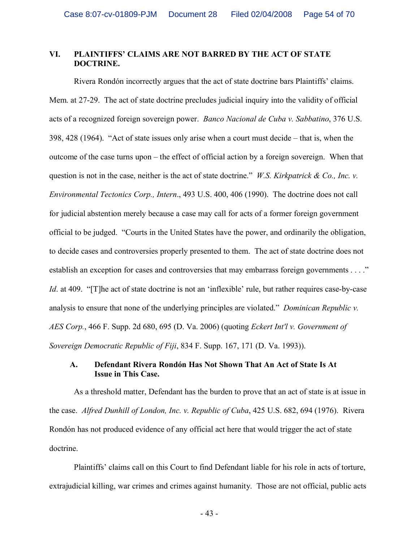#### **VI. PLAINTIFFS' CLAIMS ARE NOT BARRED BY THE ACT OF STATE DOCTRINE.**

Rivera Rondón incorrectly argues that the act of state doctrine bars Plaintiffs' claims. Mem. at 27-29. The act of state doctrine precludes judicial inquiry into the validity of official acts of a recognized foreign sovereign power. *Banco Nacional de Cuba v. Sabbatino*, 376 U.S. 398, 428 (1964). "Act of state issues only arise when a court must decide – that is, when the outcome of the case turns upon – the effect of official action by a foreign sovereign. When that question is not in the case, neither is the act of state doctrine." *W.S. Kirkpatrick & Co., Inc. v. Environmental Tectonics Corp., Intern*., 493 U.S. 400, 406 (1990). The doctrine does not call for judicial abstention merely because a case may call for acts of a former foreign government official to be judged. "Courts in the United States have the power, and ordinarily the obligation, to decide cases and controversies properly presented to them. The act of state doctrine does not establish an exception for cases and controversies that may embarrass foreign governments . . . ." *Id.* at 409. "[T]he act of state doctrine is not an 'inflexible' rule, but rather requires case-by-case analysis to ensure that none of the underlying principles are violated." *Dominican Republic v. AES Corp.*, 466 F. Supp. 2d 680, 695 (D. Va. 2006) (quoting *Eckert Int'l v. Government of Sovereign Democratic Republic of Fiji*, 834 F. Supp. 167, 171 (D. Va. 1993)).

#### **A. Defendant Rivera Rondón Has Not Shown That An Act of State Is At Issue in This Case.**

As a threshold matter, Defendant has the burden to prove that an act of state is at issue in the case. *Alfred Dunhill of London, Inc. v. Republic of Cuba*, 425 U.S. 682, 694 (1976). Rivera Rondón has not produced evidence of any official act here that would trigger the act of state doctrine.

Plaintiffs' claims call on this Court to find Defendant liable for his role in acts of torture, extrajudicial killing, war crimes and crimes against humanity. Those are not official, public acts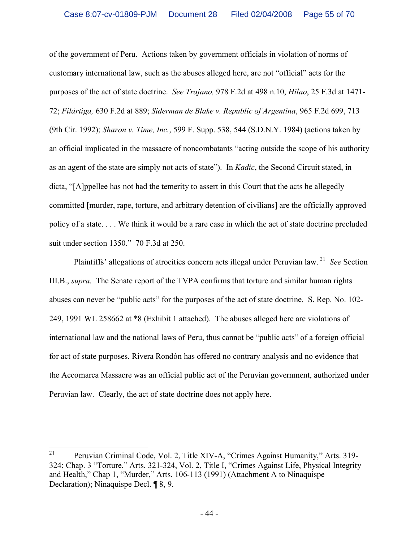of the government of Peru. Actions taken by government officials in violation of norms of customary international law, such as the abuses alleged here, are not "official" acts for the purposes of the act of state doctrine. *See Trajano,* 978 F.2d at 498 n.10, *Hilao*, 25 F.3d at 1471- 72; *Filártiga,* 630 F.2d at 889; *Siderman de Blake v. Republic of Argentina*, 965 F.2d 699, 713 (9th Cir. 1992); *Sharon v. Time, Inc.*, 599 F. Supp. 538, 544 (S.D.N.Y. 1984) (actions taken by an official implicated in the massacre of noncombatants "acting outside the scope of his authority as an agent of the state are simply not acts of state"). In *Kadic*, the Second Circuit stated, in dicta, "[A]ppellee has not had the temerity to assert in this Court that the acts he allegedly committed [murder, rape, torture, and arbitrary detention of civilians] are the officially approved policy of a state. . . . We think it would be a rare case in which the act of state doctrine precluded suit under section 1350." 70 F.3d at 250.

Plaintiffs' allegations of atrocities concern acts illegal under Peruvian law. <sup>21</sup> *See* Section III.B., *supra.* The Senate report of the TVPA confirms that torture and similar human rights abuses can never be "public acts" for the purposes of the act of state doctrine. S. Rep. No. 102- 249, 1991 WL 258662 at \*8 (Exhibit 1 attached). The abuses alleged here are violations of international law and the national laws of Peru, thus cannot be "public acts" of a foreign official for act of state purposes. Rivera Rondón has offered no contrary analysis and no evidence that the Accomarca Massacre was an official public act of the Peruvian government, authorized under Peruvian law. Clearly, the act of state doctrine does not apply here.

<sup>&</sup>lt;sup>21</sup> Peruvian Criminal Code, Vol. 2, Title XIV-A, "Crimes Against Humanity," Arts. 319-324; Chap. 3 "Torture," Arts. 321-324, Vol. 2, Title I, "Crimes Against Life, Physical Integrity and Health," Chap 1, "Murder," Arts. 106-113 (1991) (Attachment A to Ninaquispe Declaration); Ninaquispe Decl. ¶ 8, 9.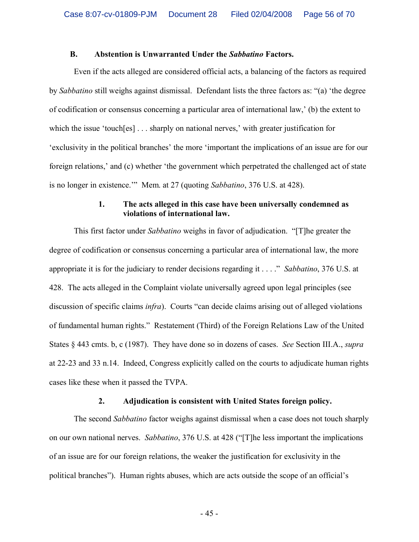#### **B. Abstention is Unwarranted Under the** *Sabbatino* **Factors.**

Even if the acts alleged are considered official acts, a balancing of the factors as required by *Sabbatino* still weighs against dismissal. Defendant lists the three factors as: "(a) 'the degree of codification or consensus concerning a particular area of international law,' (b) the extent to which the issue 'touch[es] ... sharply on national nerves,' with greater justification for 'exclusivity in the political branches' the more 'important the implications of an issue are for our foreign relations,' and (c) whether 'the government which perpetrated the challenged act of state is no longer in existence.'" Mem. at 27 (quoting *Sabbatino*, 376 U.S. at 428).

#### **1. The acts alleged in this case have been universally condemned as violations of international law.**

This first factor under *Sabbatino* weighs in favor of adjudication. "[T]he greater the degree of codification or consensus concerning a particular area of international law, the more appropriate it is for the judiciary to render decisions regarding it . . . ." *Sabbatino*, 376 U.S. at 428. The acts alleged in the Complaint violate universally agreed upon legal principles (see discussion of specific claims *infra*). Courts "can decide claims arising out of alleged violations of fundamental human rights." Restatement (Third) of the Foreign Relations Law of the United States § 443 cmts. b, c (1987). They have done so in dozens of cases. *See* Section III.A., *supra*  at 22-23 and 33 n.14. Indeed, Congress explicitly called on the courts to adjudicate human rights cases like these when it passed the TVPA.

#### **2. Adjudication is consistent with United States foreign policy.**

The second *Sabbatino* factor weighs against dismissal when a case does not touch sharply on our own national nerves. *Sabbatino*, 376 U.S. at 428 ("[T]he less important the implications of an issue are for our foreign relations, the weaker the justification for exclusivity in the political branches"). Human rights abuses, which are acts outside the scope of an official's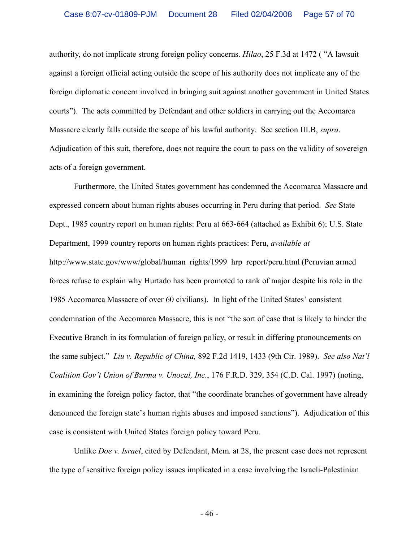authority, do not implicate strong foreign policy concerns. *Hilao*, 25 F.3d at 1472 ( "A lawsuit against a foreign official acting outside the scope of his authority does not implicate any of the foreign diplomatic concern involved in bringing suit against another government in United States courts"). The acts committed by Defendant and other soldiers in carrying out the Accomarca Massacre clearly falls outside the scope of his lawful authority. See section III.B, *supra*. Adjudication of this suit, therefore, does not require the court to pass on the validity of sovereign acts of a foreign government.

Furthermore, the United States government has condemned the Accomarca Massacre and expressed concern about human rights abuses occurring in Peru during that period. *See* State Dept., 1985 country report on human rights: Peru at 663-664 (attached as Exhibit 6); U.S. State Department, 1999 country reports on human rights practices: Peru, *available at* http://www.state.gov/www/global/human\_rights/1999\_hrp\_report/peru.html (Peruvian armed forces refuse to explain why Hurtado has been promoted to rank of major despite his role in the 1985 Accomarca Massacre of over 60 civilians). In light of the United States' consistent condemnation of the Accomarca Massacre, this is not "the sort of case that is likely to hinder the Executive Branch in its formulation of foreign policy, or result in differing pronouncements on the same subject." *Liu v. Republic of China,* 892 F.2d 1419, 1433 (9th Cir. 1989). *See also Nat'l Coalition Gov't Union of Burma v. Unocal, Inc.*, 176 F.R.D. 329, 354 (C.D. Cal. 1997) (noting, in examining the foreign policy factor, that "the coordinate branches of government have already denounced the foreign state's human rights abuses and imposed sanctions"). Adjudication of this case is consistent with United States foreign policy toward Peru.

Unlike *Doe v. Israel*, cited by Defendant, Mem. at 28, the present case does not represent the type of sensitive foreign policy issues implicated in a case involving the Israeli-Palestinian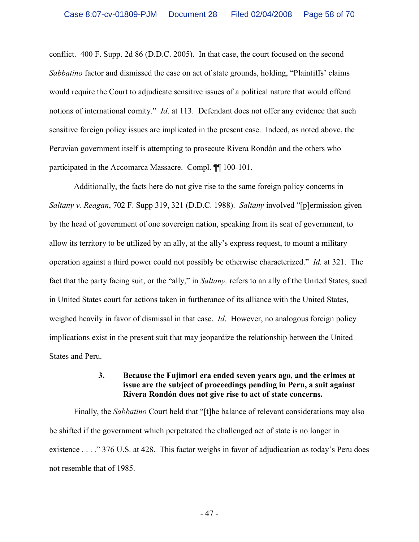conflict. 400 F. Supp. 2d 86 (D.D.C. 2005). In that case, the court focused on the second *Sabbatino* factor and dismissed the case on act of state grounds, holding, "Plaintiffs' claims would require the Court to adjudicate sensitive issues of a political nature that would offend notions of international comity." *Id*. at 113. Defendant does not offer any evidence that such sensitive foreign policy issues are implicated in the present case. Indeed, as noted above, the Peruvian government itself is attempting to prosecute Rivera Rondón and the others who participated in the Accomarca Massacre. Compl. ¶¶ 100-101.

Additionally, the facts here do not give rise to the same foreign policy concerns in *Saltany v. Reagan*, 702 F. Supp 319, 321 (D.D.C. 1988). *Saltany* involved "[p]ermission given by the head of government of one sovereign nation, speaking from its seat of government, to allow its territory to be utilized by an ally, at the ally's express request, to mount a military operation against a third power could not possibly be otherwise characterized." *Id.* at 321. The fact that the party facing suit, or the "ally," in *Saltany,* refers to an ally of the United States, sued in United States court for actions taken in furtherance of its alliance with the United States, weighed heavily in favor of dismissal in that case. *Id*. However, no analogous foreign policy implications exist in the present suit that may jeopardize the relationship between the United States and Peru.

#### **3. Because the Fujimori era ended seven years ago, and the crimes at issue are the subject of proceedings pending in Peru, a suit against Rivera Rondón does not give rise to act of state concerns.**

Finally, the *Sabbatino* Court held that "[t]he balance of relevant considerations may also be shifted if the government which perpetrated the challenged act of state is no longer in existence . . . ." 376 U.S. at 428. This factor weighs in favor of adjudication as today's Peru does not resemble that of 1985.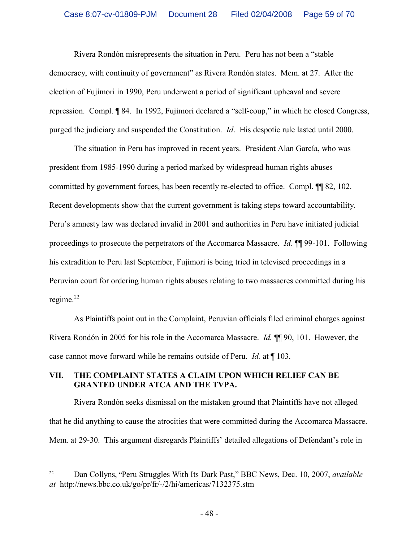Rivera Rondón misrepresents the situation in Peru. Peru has not been a "stable democracy, with continuity of government" as Rivera Rondón states. Mem. at 27. After the election of Fujimori in 1990, Peru underwent a period of significant upheaval and severe repression. Compl. ¶ 84. In 1992, Fujimori declared a "self-coup," in which he closed Congress, purged the judiciary and suspended the Constitution. *Id*. His despotic rule lasted until 2000.

The situation in Peru has improved in recent years. President Alan García, who was president from 1985-1990 during a period marked by widespread human rights abuses committed by government forces, has been recently re-elected to office. Compl. ¶¶ 82, 102. Recent developments show that the current government is taking steps toward accountability. Peru's amnesty law was declared invalid in 2001 and authorities in Peru have initiated judicial proceedings to prosecute the perpetrators of the Accomarca Massacre. *Id.* ¶¶ 99-101. Following his extradition to Peru last September, Fujimori is being tried in televised proceedings in a Peruvian court for ordering human rights abuses relating to two massacres committed during his regime. $^{22}$ 

As Plaintiffs point out in the Complaint, Peruvian officials filed criminal charges against Rivera Rondón in 2005 for his role in the Accomarca Massacre. *Id.* ¶¶ 90, 101. However, the case cannot move forward while he remains outside of Peru. *Id.* at ¶ 103.

## **VII. THE COMPLAINT STATES A CLAIM UPON WHICH RELIEF CAN BE GRANTED UNDER ATCA AND THE TVPA.**

Rivera Rondón seeks dismissal on the mistaken ground that Plaintiffs have not alleged that he did anything to cause the atrocities that were committed during the Accomarca Massacre. Mem. at 29-30. This argument disregards Plaintiffs' detailed allegations of Defendant's role in

<sup>22</sup> Dan Collyns, "Peru Struggles With Its Dark Past," BBC News, Dec. 10, 2007, *available at* http://news.bbc.co.uk/go/pr/fr/-/2/hi/americas/7132375.stm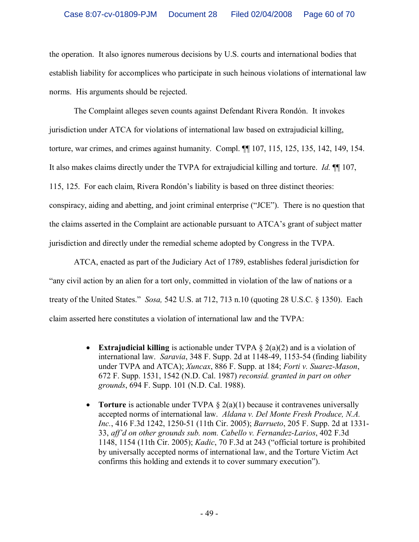the operation. It also ignores numerous decisions by U.S. courts and international bodies that establish liability for accomplices who participate in such heinous violations of international law norms. His arguments should be rejected.

The Complaint alleges seven counts against Defendant Rivera Rondón. It invokes jurisdiction under ATCA for violations of international law based on extrajudicial killing, torture, war crimes, and crimes against humanity. Compl. ¶¶ 107, 115, 125, 135, 142, 149, 154. It also makes claims directly under the TVPA for extrajudicial killing and torture. *Id.* ¶¶ 107, 115, 125. For each claim, Rivera Rondón's liability is based on three distinct theories: conspiracy, aiding and abetting, and joint criminal enterprise ("JCE"). There is no question that the claims asserted in the Complaint are actionable pursuant to ATCA's grant of subject matter jurisdiction and directly under the remedial scheme adopted by Congress in the TVPA.

ATCA, enacted as part of the Judiciary Act of 1789, establishes federal jurisdiction for "any civil action by an alien for a tort only, committed in violation of the law of nations or a treaty of the United States." *Sosa,* 542 U.S. at 712, 713 n.10 (quoting 28 U.S.C. § 1350). Each claim asserted here constitutes a violation of international law and the TVPA:

- · **Extrajudicial killing** is actionable under TVPA § 2(a)(2) and is a violation of international law. *Saravia*, 348 F. Supp. 2d at 1148-49, 1153-54 (finding liability under TVPA and ATCA); *Xuncax*, 886 F. Supp. at 184; *Forti v. Suarez-Mason*, 672 F. Supp. 1531, 1542 (N.D. Cal. 1987) *reconsid. granted in part on other grounds*, 694 F. Supp. 101 (N.D. Cal. 1988).
- **Torture** is actionable under TVPA § 2(a)(1) because it contravenes universally accepted norms of international law. *Aldana v. Del Monte Fresh Produce, N.A. Inc.*, 416 F.3d 1242, 1250-51 (11th Cir. 2005); *Barrueto*, 205 F. Supp. 2d at 1331- 33, *aff'd on other grounds sub. nom. Cabello v. Fernandez-Larios*, 402 F.3d 1148, 1154 (11th Cir. 2005); *Kadic*, 70 F.3d at 243 ("official torture is prohibited by universally accepted norms of international law, and the Torture Victim Act confirms this holding and extends it to cover summary execution").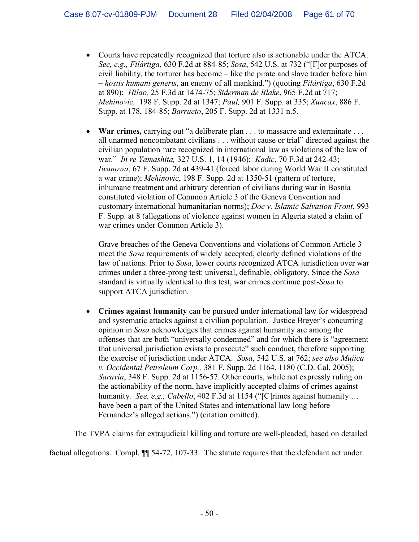- · Courts have repeatedly recognized that torture also is actionable under the ATCA. *See, e.g., Filártiga,* 630 F.2d at 884-85; *Sosa*, 542 U.S. at 732 ("[F]or purposes of civil liability, the torturer has become – like the pirate and slave trader before him – *hostis humani generis*, an enemy of all mankind.") (quoting *Filártiga*, 630 F.2d at 890); *Hilao,* 25 F.3d at 1474-75; *Siderman de Blake*, 965 F.2d at 717; *Mehinovic,* 198 F. Supp. 2d at 1347; *Paul,* 901 F. Supp. at 335; *Xuncax*, 886 F. Supp. at 178, 184-85; *Barrueto*, 205 F. Supp. 2d at 1331 n.5.
- · **War crimes,** carrying out "a deliberate plan . . . to massacre and exterminate . . . all unarmed noncombatant civilians . . . without cause or trial" directed against the civilian population "are recognized in international law as violations of the law of war." *In re Yamashita,* 327 U.S. 1, 14 (1946); *Kadic*, 70 F.3d at 242-43; *Iwanowa*, 67 F. Supp. 2d at 439-41 (forced labor during World War II constituted a war crime); *Mehinovic*, 198 F. Supp. 2d at 1350-51 (pattern of torture, inhumane treatment and arbitrary detention of civilians during war in Bosnia constituted violation of Common Article 3 of the Geneva Convention and customary international humanitarian norms); *Doe v. Islamic Salvation Front*, 993 F. Supp. at 8 (allegations of violence against women in Algeria stated a claim of war crimes under Common Article 3).

Grave breaches of the Geneva Conventions and violations of Common Article 3 meet the *Sosa* requirements of widely accepted, clearly defined violations of the law of nations. Prior to *Sosa*, lower courts recognized ATCA jurisdiction over war crimes under a three-prong test: universal, definable, obligatory. Since the *Sosa* standard is virtually identical to this test, war crimes continue post-*Sosa* to support ATCA jurisdiction.

· **Crimes against humanity** can be pursued under international law for widespread and systematic attacks against a civilian population. Justice Breyer's concurring opinion in *Sosa* acknowledges that crimes against humanity are among the offenses that are both "universally condemned" and for which there is "agreement that universal jurisdiction exists to prosecute" such conduct, therefore supporting the exercise of jurisdiction under ATCA. *Sosa*, 542 U.S. at 762; *see also Mujica v. Occidental Petroleum Corp.,* 381 F. Supp. 2d 1164, 1180 (C.D. Cal. 2005); *Saravia*, 348 F. Supp. 2d at 1156-57. Other courts, while not expressly ruling on the actionability of the norm, have implicitly accepted claims of crimes against humanity. *See, e.g., Cabello*, 402 F.3d at 1154 ("[C]rimes against humanity ... have been a part of the United States and international law long before Fernandez's alleged actions.") (citation omitted).

The TVPA claims for extrajudicial killing and torture are well-pleaded, based on detailed

factual allegations. Compl. ¶¶ 54-72, 107-33. The statute requires that the defendant act under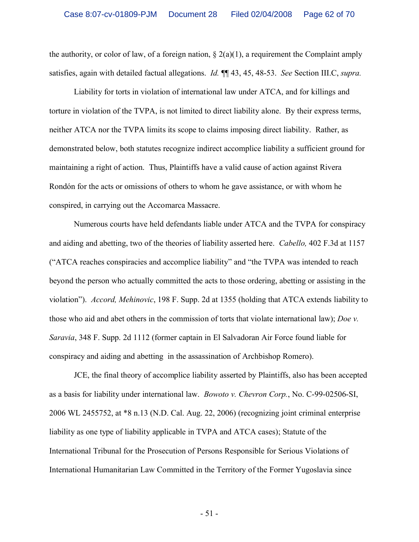the authority, or color of law, of a foreign nation,  $\S(2(a)(1))$ , a requirement the Complaint amply satisfies, again with detailed factual allegations. *Id.* ¶¶ 43, 45, 48-53. *See* Section III.C, *supra.*

Liability for torts in violation of international law under ATCA, and for killings and torture in violation of the TVPA, is not limited to direct liability alone. By their express terms, neither ATCA nor the TVPA limits its scope to claims imposing direct liability. Rather, as demonstrated below, both statutes recognize indirect accomplice liability a sufficient ground for maintaining a right of action. Thus, Plaintiffs have a valid cause of action against Rivera Rondón for the acts or omissions of others to whom he gave assistance, or with whom he conspired, in carrying out the Accomarca Massacre.

Numerous courts have held defendants liable under ATCA and the TVPA for conspiracy and aiding and abetting, two of the theories of liability asserted here. *Cabello,* 402 F.3d at 1157 ("ATCA reaches conspiracies and accomplice liability" and "the TVPA was intended to reach beyond the person who actually committed the acts to those ordering, abetting or assisting in the violation"). *Accord, Mehinovic*, 198 F. Supp. 2d at 1355 (holding that ATCA extends liability to those who aid and abet others in the commission of torts that violate international law); *Doe v. Saravia*, 348 F. Supp. 2d 1112 (former captain in El Salvadoran Air Force found liable for conspiracy and aiding and abetting in the assassination of Archbishop Romero).

JCE, the final theory of accomplice liability asserted by Plaintiffs, also has been accepted as a basis for liability under international law. *Bowoto v. Chevron Corp.*, No. C-99-02506-SI, 2006 WL 2455752, at \*8 n.13 (N.D. Cal. Aug. 22, 2006) (recognizing joint criminal enterprise liability as one type of liability applicable in TVPA and ATCA cases); Statute of the International Tribunal for the Prosecution of Persons Responsible for Serious Violations of International Humanitarian Law Committed in the Territory of the Former Yugoslavia since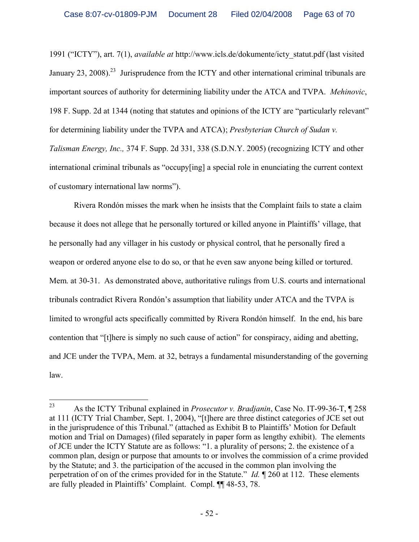1991 ("ICTY"), art. 7(1), *available at* http://www.icls.de/dokumente/icty\_statut.pdf (last visited January 23, 2008).<sup>23</sup> Jurisprudence from the ICTY and other international criminal tribunals are important sources of authority for determining liability under the ATCA and TVPA. *Mehinovic*, 198 F. Supp. 2d at 1344 (noting that statutes and opinions of the ICTY are "particularly relevant" for determining liability under the TVPA and ATCA); *Presbyterian Church of Sudan v. Talisman Energy, Inc.,* 374 F. Supp. 2d 331, 338 (S.D.N.Y. 2005) (recognizing ICTY and other international criminal tribunals as "occupy[ing] a special role in enunciating the current context of customary international law norms").

Rivera Rondón misses the mark when he insists that the Complaint fails to state a claim because it does not allege that he personally tortured or killed anyone in Plaintiffs' village, that he personally had any villager in his custody or physical control, that he personally fired a weapon or ordered anyone else to do so, or that he even saw anyone being killed or tortured. Mem. at 30-31. As demonstrated above, authoritative rulings from U.S. courts and international tribunals contradict Rivera Rondón's assumption that liability under ATCA and the TVPA is limited to wrongful acts specifically committed by Rivera Rondón himself. In the end, his bare contention that "[t]here is simply no such cause of action" for conspiracy, aiding and abetting, and JCE under the TVPA, Mem. at 32, betrays a fundamental misunderstanding of the governing law.

<sup>23</sup> As the ICTY Tribunal explained in *Prosecutor v. Bradjanin*, Case No. IT-99-36-T, ¶ 258 at 111 (ICTY Trial Chamber, Sept. 1, 2004), "[t]here are three distinct categories of JCE set out in the jurisprudence of this Tribunal." (attached as Exhibit B to Plaintiffs' Motion for Default motion and Trial on Damages) (filed separately in paper form as lengthy exhibit). The elements of JCE under the ICTY Statute are as follows: "1. a plurality of persons; 2. the existence of a common plan, design or purpose that amounts to or involves the commission of a crime provided by the Statute; and 3. the participation of the accused in the common plan involving the perpetration of on of the crimes provided for in the Statute." *Id.* ¶ 260 at 112. These elements are fully pleaded in Plaintiffs' Complaint. Compl. ¶¶ 48-53, 78.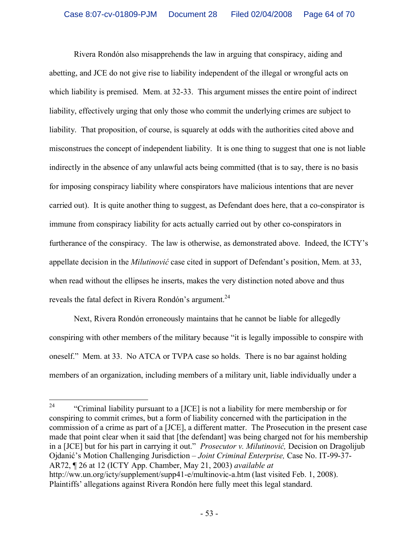Rivera Rondón also misapprehends the law in arguing that conspiracy, aiding and abetting, and JCE do not give rise to liability independent of the illegal or wrongful acts on which liability is premised. Mem. at 32-33. This argument misses the entire point of indirect liability, effectively urging that only those who commit the underlying crimes are subject to liability. That proposition, of course, is squarely at odds with the authorities cited above and misconstrues the concept of independent liability. It is one thing to suggest that one is not liable indirectly in the absence of any unlawful acts being committed (that is to say, there is no basis for imposing conspiracy liability where conspirators have malicious intentions that are never carried out). It is quite another thing to suggest, as Defendant does here, that a co-conspirator is immune from conspiracy liability for acts actually carried out by other co-conspirators in furtherance of the conspiracy. The law is otherwise, as demonstrated above. Indeed, the ICTY's appellate decision in the *Milutinović* case cited in support of Defendant's position, Mem. at 33, when read without the ellipses he inserts, makes the very distinction noted above and thus reveals the fatal defect in Rivera Rondón's argument.<sup>24</sup>

Next, Rivera Rondón erroneously maintains that he cannot be liable for allegedly conspiring with other members of the military because "it is legally impossible to conspire with oneself." Mem. at 33. No ATCA or TVPA case so holds. There is no bar against holding members of an organization, including members of a military unit, liable individually under a

<sup>&</sup>lt;sup>24</sup> "Criminal liability pursuant to a [JCE] is not a liability for mere membership or for conspiring to commit crimes, but a form of liability concerned with the participation in the commission of a crime as part of a [JCE], a different matter. The Prosecution in the present case made that point clear when it said that [the defendant] was being charged not for his membership in a [JCE] but for his part in carrying it out." *Prosecutor v. Milutinović,* Decision on Dragolijub Ojdanić's Motion Challenging Jurisdiction – *Joint Criminal Enterprise,* Case No. IT-99-37- AR72, ¶ 26 at 12 (ICTY App. Chamber, May 21, 2003) *available at* http://ww.un.org/icty/supplement/supp41-e/multinovic-a.htm (last visited Feb. 1, 2008). Plaintiffs' allegations against Rivera Rondón here fully meet this legal standard.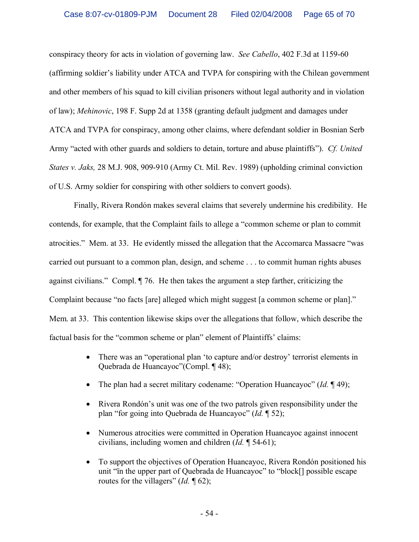conspiracy theory for acts in violation of governing law. *See Cabello*, 402 F.3d at 1159-60 (affirming soldier's liability under ATCA and TVPA for conspiring with the Chilean government and other members of his squad to kill civilian prisoners without legal authority and in violation of law); *Mehinovic*, 198 F. Supp 2d at 1358 (granting default judgment and damages under ATCA and TVPA for conspiracy, among other claims, where defendant soldier in Bosnian Serb Army "acted with other guards and soldiers to detain, torture and abuse plaintiffs"). *Cf. United States v. Jaks,* 28 M.J. 908, 909-910 (Army Ct. Mil. Rev. 1989) (upholding criminal conviction of U.S. Army soldier for conspiring with other soldiers to convert goods).

Finally, Rivera Rondón makes several claims that severely undermine his credibility. He contends, for example, that the Complaint fails to allege a "common scheme or plan to commit atrocities." Mem. at 33. He evidently missed the allegation that the Accomarca Massacre "was carried out pursuant to a common plan, design, and scheme . . . to commit human rights abuses against civilians." Compl. ¶ 76. He then takes the argument a step farther, criticizing the Complaint because "no facts [are] alleged which might suggest [a common scheme or plan]." Mem. at 33. This contention likewise skips over the allegations that follow, which describe the factual basis for the "common scheme or plan" element of Plaintiffs' claims:

- There was an "operational plan 'to capture and/or destroy' terrorist elements in Quebrada de Huancayoc"(Compl. ¶ 48);
- The plan had a secret military codename: "Operation Huancayoc" (*Id.* 149);
- · Rivera Rondón's unit was one of the two patrols given responsibility under the plan "for going into Quebrada de Huancayoc" (*Id.* ¶ 52);
- · Numerous atrocities were committed in Operation Huancayoc against innocent civilians, including women and children (*Id.* ¶ 54-61);
- · To support the objectives of Operation Huancayoc, Rivera Rondón positioned his unit "ïn the upper part of Quebrada de Huancayoc" to "block[] possible escape routes for the villagers" (*Id.* 162);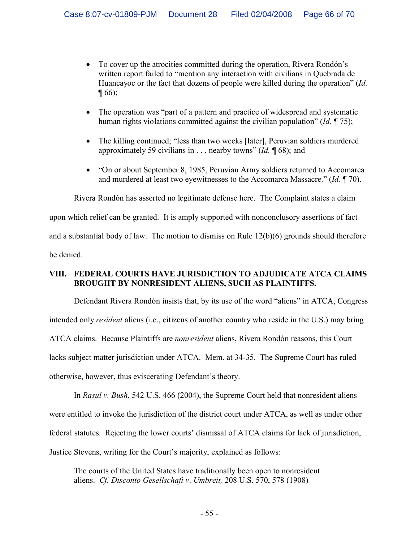- · To cover up the atrocities committed during the operation, Rivera Rondón's written report failed to "mention any interaction with civilians in Quebrada de Huancayoc or the fact that dozens of people were killed during the operation" (*Id.*   $\P(66)$ ;
- The operation was "part of a pattern and practice of widespread and systematic human rights violations committed against the civilian population" (*Id.* ¶ 75);
- The killing continued; "less than two weeks [later], Peruvian soldiers murdered approximately 59 civilians in . . . nearby towns" (*Id.* ¶ 68); and
- "On or about September 8, 1985, Peruvian Army soldiers returned to Accomarca and murdered at least two eyewitnesses to the Accomarca Massacre." (*Id.* ¶ 70).

Rivera Rondón has asserted no legitimate defense here. The Complaint states a claim upon which relief can be granted. It is amply supported with nonconclusory assertions of fact and a substantial body of law. The motion to dismiss on Rule 12(b)(6) grounds should therefore be denied.

## **VIII. FEDERAL COURTS HAVE JURISDICTION TO ADJUDICATE ATCA CLAIMS BROUGHT BY NONRESIDENT ALIENS, SUCH AS PLAINTIFFS.**

Defendant Rivera Rondón insists that, by its use of the word "aliens" in ATCA, Congress intended only *resident* aliens (i.e., citizens of another country who reside in the U.S.) may bring ATCA claims. Because Plaintiffs are *nonresident* aliens, Rivera Rondón reasons, this Court lacks subject matter jurisdiction under ATCA. Mem. at 34-35. The Supreme Court has ruled otherwise, however, thus eviscerating Defendant's theory.

In *Rasul v. Bush*, 542 U.S. 466 (2004), the Supreme Court held that nonresident aliens were entitled to invoke the jurisdiction of the district court under ATCA, as well as under other federal statutes. Rejecting the lower courts' dismissal of ATCA claims for lack of jurisdiction, Justice Stevens, writing for the Court's majority, explained as follows:

The courts of the United States have traditionally been open to nonresident aliens. *Cf. Disconto Gesellschaft v*. *Umbreit,* 208 U.S. 570, 578 (1908)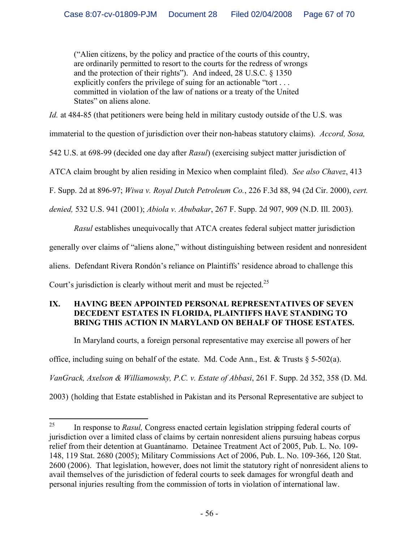("Alien citizens, by the policy and practice of the courts of this country, are ordinarily permitted to resort to the courts for the redress of wrongs and the protection of their rights"). And indeed, 28 U.S.C. § 1350 explicitly confers the privilege of suing for an actionable "tort . . . committed in violation of the law of nations or a treaty of the United States" on aliens alone.

*Id.* at 484-85 (that petitioners were being held in military custody outside of the U.S. was

immaterial to the question of jurisdiction over their non-habeas statutory claims). *Accord, Sosa,*

542 U.S. at 698-99 (decided one day after *Rasul*) (exercising subject matter jurisdiction of

ATCA claim brought by alien residing in Mexico when complaint filed). *See also Chavez*, 413

F. Supp. 2d at 896-97; *Wiwa v. Royal Dutch Petroleum Co.*, 226 F.3d 88, 94 (2d Cir. 2000), *cert.* 

*denied,* 532 U.S. 941 (2001); *Abiola v. Abubakar*, 267 F. Supp. 2d 907, 909 (N.D. Ill. 2003).

*Rasul* establishes unequivocally that ATCA creates federal subject matter jurisdiction

generally over claims of "aliens alone," without distinguishing between resident and nonresident

aliens. Defendant Rivera Rondón's reliance on Plaintiffs' residence abroad to challenge this

Court's jurisdiction is clearly without merit and must be rejected.<sup>25</sup>

#### **IX. HAVING BEEN APPOINTED PERSONAL REPRESENTATIVES OF SEVEN DECEDENT ESTATES IN FLORIDA, PLAINTIFFS HAVE STANDING TO BRING THIS ACTION IN MARYLAND ON BEHALF OF THOSE ESTATES.**

In Maryland courts, a foreign personal representative may exercise all powers of her

office, including suing on behalf of the estate. Md. Code Ann., Est. & Trusts  $\S$  5-502(a).

*VanGrack, Axelson & Williamowsky, P.C. v. Estate of Abbasi*, 261 F. Supp. 2d 352, 358 (D. Md.

2003) (holding that Estate established in Pakistan and its Personal Representative are subject to

<sup>&</sup>lt;sup>25</sup> In response to *Rasul*, Congress enacted certain legislation stripping federal courts of jurisdiction over a limited class of claims by certain nonresident aliens pursuing habeas corpus relief from their detention at Guantánamo. Detainee Treatment Act of 2005, Pub. L. No. 109- 148, 119 Stat. 2680 (2005); Military Commissions Act of 2006, Pub. L. No. 109-366, 120 Stat. 2600 (2006). That legislation, however, does not limit the statutory right of nonresident aliens to avail themselves of the jurisdiction of federal courts to seek damages for wrongful death and personal injuries resulting from the commission of torts in violation of international law.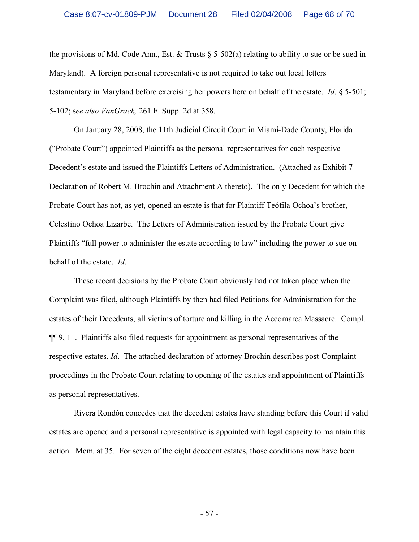the provisions of Md. Code Ann., Est. & Trusts  $\S$  5-502(a) relating to ability to sue or be sued in Maryland). A foreign personal representative is not required to take out local letters testamentary in Maryland before exercising her powers here on behalf of the estate. *Id*. § 5-501; 5-102; s*ee also VanGrack,* 261 F. Supp. 2d at 358.

On January 28, 2008, the 11th Judicial Circuit Court in Miami-Dade County, Florida ("Probate Court") appointed Plaintiffs as the personal representatives for each respective Decedent's estate and issued the Plaintiffs Letters of Administration. (Attached as Exhibit 7 Declaration of Robert M. Brochin and Attachment A thereto). The only Decedent for which the Probate Court has not, as yet, opened an estate is that for Plaintiff Teófila Ochoa's brother, Celestino Ochoa Lizarbe. The Letters of Administration issued by the Probate Court give Plaintiffs "full power to administer the estate according to law" including the power to sue on behalf of the estate. *Id*.

These recent decisions by the Probate Court obviously had not taken place when the Complaint was filed, although Plaintiffs by then had filed Petitions for Administration for the estates of their Decedents, all victims of torture and killing in the Accomarca Massacre. Compl. ¶¶ 9, 11. Plaintiffs also filed requests for appointment as personal representatives of the respective estates. *Id*. The attached declaration of attorney Brochin describes post-Complaint proceedings in the Probate Court relating to opening of the estates and appointment of Plaintiffs as personal representatives.

Rivera Rondón concedes that the decedent estates have standing before this Court if valid estates are opened and a personal representative is appointed with legal capacity to maintain this action. Mem. at 35. For seven of the eight decedent estates, those conditions now have been

- 57 -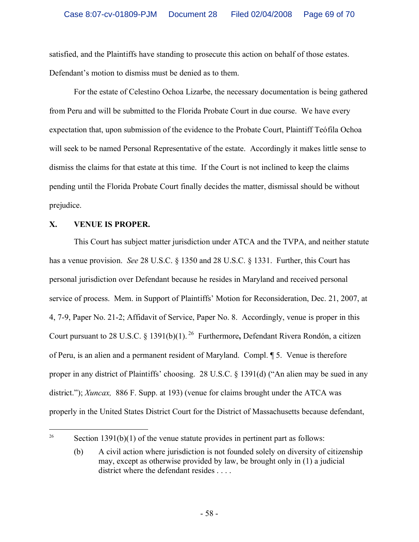satisfied, and the Plaintiffs have standing to prosecute this action on behalf of those estates. Defendant's motion to dismiss must be denied as to them.

For the estate of Celestino Ochoa Lizarbe, the necessary documentation is being gathered from Peru and will be submitted to the Florida Probate Court in due course. We have every expectation that, upon submission of the evidence to the Probate Court, Plaintiff Teófila Ochoa will seek to be named Personal Representative of the estate. Accordingly it makes little sense to dismiss the claims for that estate at this time. If the Court is not inclined to keep the claims pending until the Florida Probate Court finally decides the matter, dismissal should be without prejudice.

## **X. VENUE IS PROPER.**

This Court has subject matter jurisdiction under ATCA and the TVPA, and neither statute has a venue provision. *See* 28 U.S.C. § 1350 and 28 U.S.C. § 1331. Further, this Court has personal jurisdiction over Defendant because he resides in Maryland and received personal service of process. Mem. in Support of Plaintiffs' Motion for Reconsideration, Dec. 21, 2007, at 4, 7-9, Paper No. 21-2; Affidavit of Service, Paper No. 8. Accordingly, venue is proper in this Court pursuant to 28 U.S.C. § 1391(b)(1). <sup>26</sup> Furthermore**,** Defendant Rivera Rondón, a citizen of Peru, is an alien and a permanent resident of Maryland. Compl. ¶ 5. Venue is therefore proper in any district of Plaintiffs' choosing. 28 U.S.C. § 1391(d) ("An alien may be sued in any district."); *Xuncax*, 886 F. Supp. at 193) (venue for claims brought under the ATCA was properly in the United States District Court for the District of Massachusetts because defendant,

<sup>&</sup>lt;sup>26</sup> Section 1391(b)(1) of the venue statute provides in pertinent part as follows:

<sup>(</sup>b) A civil action where jurisdiction is not founded solely on diversity of citizenship may, except as otherwise provided by law, be brought only in (1) a judicial district where the defendant resides . . . .